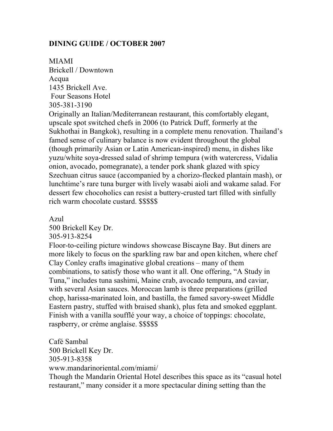### **DINING GUIDE / OCTOBER 2007**

MIAMI Brickell / Downtown Acqua 1435 Brickell Ave. Four Seasons Hotel 305-381-3190

Originally an Italian/Mediterranean restaurant, this comfortably elegant, upscale spot switched chefs in 2006 (to Patrick Duff, formerly at the Sukhothai in Bangkok), resulting in a complete menu renovation. Thailand's famed sense of culinary balance is now evident throughout the global (though primarily Asian or Latin American-inspired) menu, in dishes like yuzu/white soya-dressed salad of shrimp tempura (with watercress, Vidalia onion, avocado, pomegranate), a tender pork shank glazed with spicy Szechuan citrus sauce (accompanied by a chorizo-flecked plantain mash), or lunchtime's rare tuna burger with lively wasabi aioli and wakame salad. For dessert few chocoholics can resist a buttery-crusted tart filled with sinfully rich warm chocolate custard. \$\$\$\$\$

Azul

500 Brickell Key Dr.

305-913-8254

Floor-to-ceiling picture windows showcase Biscayne Bay. But diners are more likely to focus on the sparkling raw bar and open kitchen, where chef Clay Conley crafts imaginative global creations – many of them combinations, to satisfy those who want it all. One offering, "A Study in Tuna," includes tuna sashimi, Maine crab, avocado tempura, and caviar, with several Asian sauces. Moroccan lamb is three preparations (grilled chop, harissa-marinated loin, and bastilla, the famed savory-sweet Middle Eastern pastry, stuffed with braised shank), plus feta and smoked eggplant. Finish with a vanilla soufflé your way, a choice of toppings: chocolate, raspberry, or crème anglaise. \$\$\$\$\$

Café Sambal 500 Brickell Key Dr. 305-913-8358 www.mandarinoriental.com/miami/ Though the Mandarin Oriental Hotel describes this space as its "casual hotel restaurant," many consider it a more spectacular dining setting than the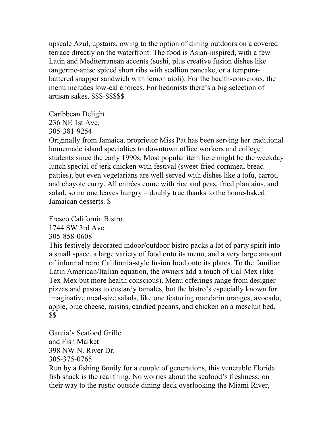upscale Azul, upstairs, owing to the option of dining outdoors on a covered terrace directly on the waterfront. The food is Asian-inspired, with a few Latin and Mediterranean accents (sushi, plus creative fusion dishes like tangerine-anise spiced short ribs with scallion pancake, or a tempurabattered snapper sandwich with lemon aioli). For the health-conscious, the menu includes low-cal choices. For hedonists there's a big selection of artisan sakes. \$\$\$-\$\$\$\$\$

Caribbean Delight

236 NE 1st Ave.

305-381-9254

Originally from Jamaica, proprietor Miss Pat has been serving her traditional homemade island specialties to downtown office workers and college students since the early 1990s. Most popular item here might be the weekday lunch special of jerk chicken with festival (sweet-fried cornmeal bread patties), but even vegetarians are well served with dishes like a tofu, carrot, and chayote curry. All entrées come with rice and peas, fried plantains, and salad, so no one leaves hungry – doubly true thanks to the home-baked Jamaican desserts. \$

Fresco California Bistro

1744 SW 3rd Ave.

305-858-0608

This festively decorated indoor/outdoor bistro packs a lot of party spirit into a small space, a large variety of food onto its menu, and a very large amount of informal retro California-style fusion food onto its plates. To the familiar Latin American/Italian equation, the owners add a touch of Cal-Mex (like Tex-Mex but more health conscious). Menu offerings range from designer pizzas and pastas to custardy tamales, but the bistro's especially known for imaginative meal-size salads, like one featuring mandarin oranges, avocado, apple, blue cheese, raisins, candied pecans, and chicken on a mesclun bed. \$\$

Garcia's Seafood Grille and Fish Market 398 NW N. River Dr. 305-375-0765

Run by a fishing family for a couple of generations, this venerable Florida fish shack is the real thing. No worries about the seafood's freshness; on their way to the rustic outside dining deck overlooking the Miami River,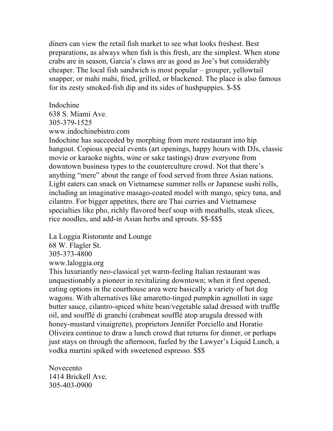diners can view the retail fish market to see what looks freshest. Best preparations, as always when fish is this fresh, are the simplest. When stone crabs are in season, Garcia's claws are as good as Joe's but considerably cheaper. The local fish sandwich is most popular – grouper, yellowtail snapper, or mahi mahi, fried, grilled, or blackened. The place is also famous for its zesty smoked-fish dip and its sides of hushpuppies. \$-\$\$

Indochine 638 S. Miami Ave. 305-379-1525 www.indochinebistro.com

Indochine has succeeded by morphing from mere restaurant into hip hangout. Copious special events (art openings, happy hours with DJs, classic movie or karaoke nights, wine or sake tastings) draw everyone from downtown business types to the counterculture crowd. Not that there's anything "mere" about the range of food served from three Asian nations. Light eaters can snack on Vietnamese summer rolls or Japanese sushi rolls, including an imaginative masago-coated model with mango, spicy tuna, and cilantro. For bigger appetites, there are Thai curries and Vietnamese specialties like pho, richly flavored beef soup with meatballs, steak slices, rice noodles, and add-in Asian herbs and sprouts. \$\$-\$\$\$

La Loggia Ristorante and Lounge

68 W. Flagler St.

305-373-4800

www.laloggia.org

This luxuriantly neo-classical yet warm-feeling Italian restaurant was unquestionably a pioneer in revitalizing downtown; when it first opened, eating options in the courthouse area were basically a variety of hot dog wagons. With alternatives like amaretto-tinged pumpkin agnolloti in sage butter sauce, cilantro-spiced white bean/vegetable salad dressed with truffle oil, and soufflé di granchi (crabmeat soufflé atop arugula dressed with honey-mustard vinaigrette), proprietors Jennifer Porciello and Horatio Oliveira continue to draw a lunch crowd that returns for dinner, or perhaps just stays on through the afternoon, fueled by the Lawyer's Liquid Lunch, a vodka martini spiked with sweetened espresso. \$\$\$

Novecento 1414 Brickell Ave. 305-403-0900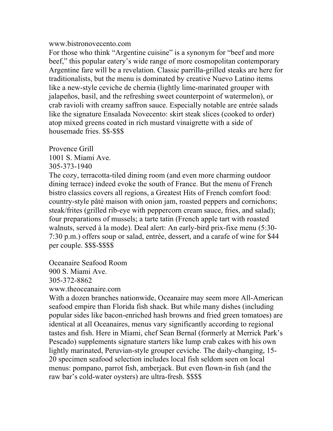#### www.bistronovecento.com

For those who think "Argentine cuisine" is a synonym for "beef and more beef," this popular eatery's wide range of more cosmopolitan contemporary Argentine fare will be a revelation. Classic parrilla-grilled steaks are here for traditionalists, but the menu is dominated by creative Nuevo Latino items like a new-style ceviche de chernia (lightly lime-marinated grouper with jalapeños, basil, and the refreshing sweet counterpoint of watermelon), or crab ravioli with creamy saffron sauce. Especially notable are entrée salads like the signature Ensalada Novecento: skirt steak slices (cooked to order) atop mixed greens coated in rich mustard vinaigrette with a side of housemade fries. \$\$-\$\$\$

Provence Grill

1001 S. Miami Ave.

305-373-1940

The cozy, terracotta-tiled dining room (and even more charming outdoor dining terrace) indeed evoke the south of France. But the menu of French bistro classics covers all regions, a Greatest Hits of French comfort food: country-style pâté maison with onion jam, roasted peppers and cornichons; steak/frites (grilled rib-eye with peppercorn cream sauce, fries, and salad); four preparations of mussels; a tarte tatin (French apple tart with roasted walnuts, served à la mode). Deal alert: An early-bird prix-fixe menu (5:30- 7:30 p.m.) offers soup or salad, entrée, dessert, and a carafe of wine for \$44 per couple. \$\$\$-\$\$\$\$

Oceanaire Seafood Room 900 S. Miami Ave. 305-372-8862 www.theoceanaire.com

With a dozen branches nationwide, Oceanaire may seem more All-American seafood empire than Florida fish shack. But while many dishes (including popular sides like bacon-enriched hash browns and fried green tomatoes) are identical at all Oceanaires, menus vary significantly according to regional tastes and fish. Here in Miami, chef Sean Bernal (formerly at Merrick Park's Pescado) supplements signature starters like lump crab cakes with his own lightly marinated, Peruvian-style grouper ceviche. The daily-changing, 15- 20 specimen seafood selection includes local fish seldom seen on local menus: pompano, parrot fish, amberjack. But even flown-in fish (and the raw bar's cold-water oysters) are ultra-fresh. \$\$\$\$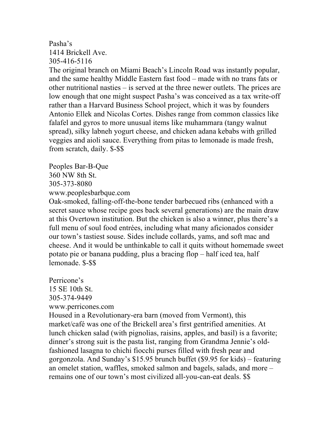#### Pasha's 1414 Brickell Ave. 305-416-5116

The original branch on Miami Beach's Lincoln Road was instantly popular, and the same healthy Middle Eastern fast food – made with no trans fats or other nutritional nasties – is served at the three newer outlets. The prices are low enough that one might suspect Pasha's was conceived as a tax write-off rather than a Harvard Business School project, which it was by founders Antonio Ellek and Nicolas Cortes. Dishes range from common classics like falafel and gyros to more unusual items like muhammara (tangy walnut spread), silky labneh yogurt cheese, and chicken adana kebabs with grilled veggies and aioli sauce. Everything from pitas to lemonade is made fresh, from scratch, daily. \$-\$\$

Peoples Bar-B-Que 360 NW 8th St. 305-373-8080 www.peoplesbarbque.com

Oak-smoked, falling-off-the-bone tender barbecued ribs (enhanced with a secret sauce whose recipe goes back several generations) are the main draw at this Overtown institution. But the chicken is also a winner, plus there's a full menu of soul food entrées, including what many aficionados consider our town's tastiest souse. Sides include collards, yams, and soft mac and cheese. And it would be unthinkable to call it quits without homemade sweet potato pie or banana pudding, plus a bracing flop – half iced tea, half lemonade. \$-\$\$

Perricone's 15 SE 10th St. 305-374-9449 www.perricones.com Housed in a Revolutionary-era barn (moved from Vermont), this market/café was one of the Brickell area's first gentrified amenities. At lunch chicken salad (with pignolias, raisins, apples, and basil) is a favorite; dinner's strong suit is the pasta list, ranging from Grandma Jennie's oldfashioned lasagna to chichi fiocchi purses filled with fresh pear and gorgonzola. And Sunday's \$15.95 brunch buffet (\$9.95 for kids) – featuring an omelet station, waffles, smoked salmon and bagels, salads, and more – remains one of our town's most civilized all-you-can-eat deals. \$\$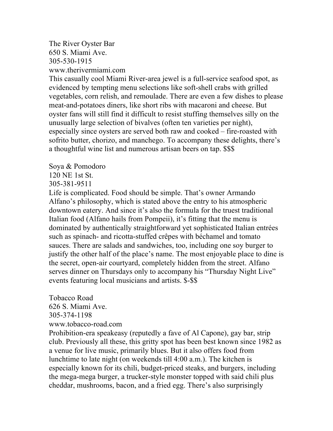The River Oyster Bar 650 S. Miami Ave. 305-530-1915 www.therivermiami.com

This casually cool Miami River-area jewel is a full-service seafood spot, as evidenced by tempting menu selections like soft-shell crabs with grilled vegetables, corn relish, and remoulade. There are even a few dishes to please meat-and-potatoes diners, like short ribs with macaroni and cheese. But oyster fans will still find it difficult to resist stuffing themselves silly on the unusually large selection of bivalves (often ten varieties per night), especially since oysters are served both raw and cooked – fire-roasted with sofrito butter, chorizo, and manchego. To accompany these delights, there's a thoughtful wine list and numerous artisan beers on tap. \$\$\$

Soya & Pomodoro

120 NE 1st St.

305-381-9511

Life is complicated. Food should be simple. That's owner Armando Alfano's philosophy, which is stated above the entry to his atmospheric downtown eatery. And since it's also the formula for the truest traditional Italian food (Alfano hails from Pompeii), it's fitting that the menu is dominated by authentically straightforward yet sophisticated Italian entrées such as spinach- and ricotta-stuffed crêpes with béchamel and tomato sauces. There are salads and sandwiches, too, including one soy burger to justify the other half of the place's name. The most enjoyable place to dine is the secret, open-air courtyard, completely hidden from the street. Alfano serves dinner on Thursdays only to accompany his "Thursday Night Live" events featuring local musicians and artists. \$-\$\$

Tobacco Road 626 S. Miami Ave. 305-374-1198 www.tobacco-road.com

Prohibition-era speakeasy (reputedly a fave of Al Capone), gay bar, strip club. Previously all these, this gritty spot has been best known since 1982 as a venue for live music, primarily blues. But it also offers food from lunchtime to late night (on weekends till 4:00 a.m.). The kitchen is especially known for its chili, budget-priced steaks, and burgers, including the mega-mega burger, a trucker-style monster topped with said chili plus cheddar, mushrooms, bacon, and a fried egg. There's also surprisingly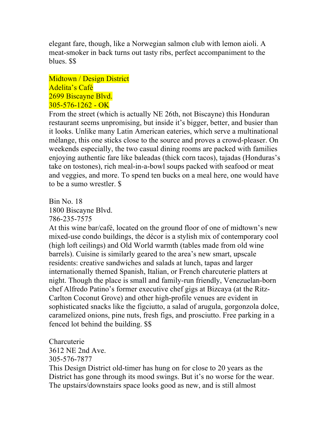elegant fare, though, like a Norwegian salmon club with lemon aioli. A meat-smoker in back turns out tasty ribs, perfect accompaniment to the blues. \$\$

Midtown / Design District Adelita's Café 2699 Biscayne Blvd.  $305 - 576 - 1262 - OK$ 

From the street (which is actually NE 26th, not Biscayne) this Honduran restaurant seems unpromising, but inside it's bigger, better, and busier than it looks. Unlike many Latin American eateries, which serve a multinational mélange, this one sticks close to the source and proves a crowd-pleaser. On weekends especially, the two casual dining rooms are packed with families enjoying authentic fare like baleadas (thick corn tacos), tajadas (Honduras's take on tostones), rich meal-in-a-bowl soups packed with seafood or meat and veggies, and more. To spend ten bucks on a meal here, one would have to be a sumo wrestler. \$

Bin No. 18 1800 Biscayne Blvd. 786-235-7575

At this wine bar/café, located on the ground floor of one of midtown's new mixed-use condo buildings, the décor is a stylish mix of contemporary cool (high loft ceilings) and Old World warmth (tables made from old wine barrels). Cuisine is similarly geared to the area's new smart, upscale residents: creative sandwiches and salads at lunch, tapas and larger internationally themed Spanish, Italian, or French charcuterie platters at night. Though the place is small and family-run friendly, Venezuelan-born chef Alfredo Patino's former executive chef gigs at Bizcaya (at the Ritz-Carlton Coconut Grove) and other high-profile venues are evident in sophisticated snacks like the figciutto, a salad of arugula, gorgonzola dolce, caramelized onions, pine nuts, fresh figs, and prosciutto. Free parking in a fenced lot behind the building. \$\$

Charcuterie 3612 NE 2nd Ave. 305-576-7877

This Design District old-timer has hung on for close to 20 years as the District has gone through its mood swings. But it's no worse for the wear. The upstairs/downstairs space looks good as new, and is still almost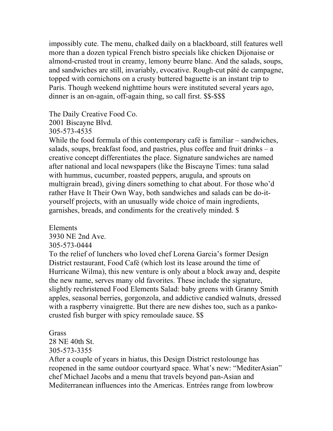impossibly cute. The menu, chalked daily on a blackboard, still features well more than a dozen typical French bistro specials like chicken Dijonaise or almond-crusted trout in creamy, lemony beurre blanc. And the salads, soups, and sandwiches are still, invariably, evocative. Rough-cut pâté de campagne, topped with cornichons on a crusty buttered baguette is an instant trip to Paris. Though weekend nighttime hours were instituted several years ago, dinner is an on-again, off-again thing, so call first. \$\$-\$\$\$

The Daily Creative Food Co.

2001 Biscayne Blvd.

305-573-4535

While the food formula of this contemporary café is familiar – sandwiches, salads, soups, breakfast food, and pastries, plus coffee and fruit drinks – a creative concept differentiates the place. Signature sandwiches are named after national and local newspapers (like the Biscayne Times: tuna salad with hummus, cucumber, roasted peppers, arugula, and sprouts on multigrain bread), giving diners something to chat about. For those who'd rather Have It Their Own Way, both sandwiches and salads can be do-ityourself projects, with an unusually wide choice of main ingredients, garnishes, breads, and condiments for the creatively minded. \$

Elements

3930 NE 2nd Ave. 305-573-0444

To the relief of lunchers who loved chef Lorena Garcia's former Design District restaurant, Food Café (which lost its lease around the time of Hurricane Wilma), this new venture is only about a block away and, despite the new name, serves many old favorites. These include the signature, slightly rechristened Food Elements Salad: baby greens with Granny Smith apples, seasonal berries, gorgonzola, and addictive candied walnuts, dressed with a raspberry vinaigrette. But there are new dishes too, such as a pankocrusted fish burger with spicy remoulade sauce. \$\$

**Grass** 

28 NE 40th St.

305-573-3355

After a couple of years in hiatus, this Design District restolounge has reopened in the same outdoor courtyard space. What's new: "MediterAsian" chef Michael Jacobs and a menu that travels beyond pan-Asian and Mediterranean influences into the Americas. Entrées range from lowbrow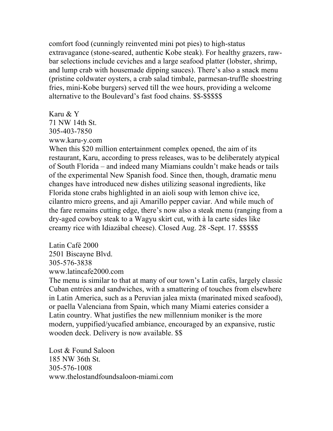comfort food (cunningly reinvented mini pot pies) to high-status extravagance (stone-seared, authentic Kobe steak). For healthy grazers, rawbar selections include ceviches and a large seafood platter (lobster, shrimp, and lump crab with housemade dipping sauces). There's also a snack menu (pristine coldwater oysters, a crab salad timbale, parmesan-truffle shoestring fries, mini-Kobe burgers) served till the wee hours, providing a welcome alternative to the Boulevard's fast food chains. \$\$-\$\$\$\$\$

Karu & Y 71 NW 14th St. 305-403-7850 www.karu-y.com

When this \$20 million entertainment complex opened, the aim of its restaurant, Karu, according to press releases, was to be deliberately atypical of South Florida – and indeed many Miamians couldn't make heads or tails of the experimental New Spanish food. Since then, though, dramatic menu changes have introduced new dishes utilizing seasonal ingredients, like Florida stone crabs highlighted in an aioli soup with lemon chive ice, cilantro micro greens, and aji Amarillo pepper caviar. And while much of the fare remains cutting edge, there's now also a steak menu (ranging from a dry-aged cowboy steak to a Wagyu skirt cut, with à la carte sides like creamy rice with Idiazábal cheese). Closed Aug. 28 -Sept. 17. \$\$\$\$\$

Latin Café 2000 2501 Biscayne Blvd. 305-576-3838 www.latincafe2000.com

The menu is similar to that at many of our town's Latin cafés, largely classic Cuban entrées and sandwiches, with a smattering of touches from elsewhere in Latin America, such as a Peruvian jalea mixta (marinated mixed seafood), or paella Valenciana from Spain, which many Miami eateries consider a Latin country. What justifies the new millennium moniker is the more modern, yuppified/yucafied ambiance, encouraged by an expansive, rustic wooden deck. Delivery is now available. \$\$

Lost & Found Saloon 185 NW 36th St. 305-576-1008 www.thelostandfoundsaloon-miami.com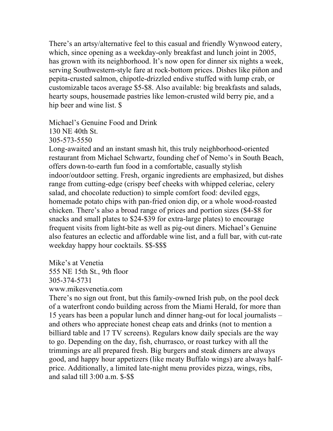There's an artsy/alternative feel to this casual and friendly Wynwood eatery, which, since opening as a weekday-only breakfast and lunch joint in 2005, has grown with its neighborhood. It's now open for dinner six nights a week, serving Southwestern-style fare at rock-bottom prices. Dishes like piñon and pepita-crusted salmon, chipotle-drizzled endive stuffed with lump crab, or customizable tacos average \$5-\$8. Also available: big breakfasts and salads, hearty soups, housemade pastries like lemon-crusted wild berry pie, and a hip beer and wine list. \$

Michael's Genuine Food and Drink 130 NE 40th St.

305-573-5550

Long-awaited and an instant smash hit, this truly neighborhood-oriented restaurant from Michael Schwartz, founding chef of Nemo's in South Beach, offers down-to-earth fun food in a comfortable, casually stylish indoor/outdoor setting. Fresh, organic ingredients are emphasized, but dishes range from cutting-edge (crispy beef cheeks with whipped celeriac, celery salad, and chocolate reduction) to simple comfort food: deviled eggs, homemade potato chips with pan-fried onion dip, or a whole wood-roasted chicken. There's also a broad range of prices and portion sizes (\$4-\$8 for snacks and small plates to \$24-\$39 for extra-large plates) to encourage frequent visits from light-bite as well as pig-out diners. Michael's Genuine also features an eclectic and affordable wine list, and a full bar, with cut-rate weekday happy hour cocktails. \$\$-\$\$\$

Mike's at Venetia 555 NE 15th St., 9th floor 305-374-5731 www.mikesvenetia.com

There's no sign out front, but this family-owned Irish pub, on the pool deck of a waterfront condo building across from the Miami Herald, for more than 15 years has been a popular lunch and dinner hang-out for local journalists – and others who appreciate honest cheap eats and drinks (not to mention a billiard table and 17 TV screens). Regulars know daily specials are the way to go. Depending on the day, fish, churrasco, or roast turkey with all the trimmings are all prepared fresh. Big burgers and steak dinners are always good, and happy hour appetizers (like meaty Buffalo wings) are always halfprice. Additionally, a limited late-night menu provides pizza, wings, ribs, and salad till 3:00 a.m. \$-\$\$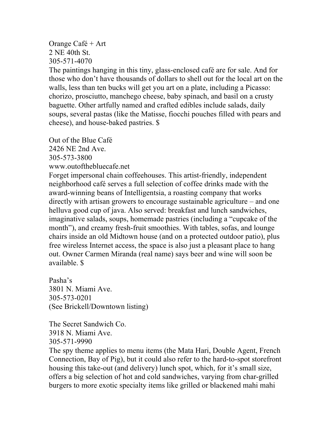### Orange Café + Art 2 NE 40th St. 305-571-4070

The paintings hanging in this tiny, glass-enclosed café are for sale. And for those who don't have thousands of dollars to shell out for the local art on the walls, less than ten bucks will get you art on a plate, including a Picasso: chorizo, prosciutto, manchego cheese, baby spinach, and basil on a crusty baguette. Other artfully named and crafted edibles include salads, daily soups, several pastas (like the Matisse, fiocchi pouches filled with pears and cheese), and house-baked pastries. \$

Out of the Blue Café 2426 NE 2nd Ave. 305-573-3800 www.outofthebluecafe.net Forget impersonal chain coffeehouses. This artist-friendly, independent

neighborhood café serves a full selection of coffee drinks made with the award-winning beans of Intelligentsia, a roasting company that works directly with artisan growers to encourage sustainable agriculture – and one helluva good cup of java. Also served: breakfast and lunch sandwiches, imaginative salads, soups, homemade pastries (including a "cupcake of the month"), and creamy fresh-fruit smoothies. With tables, sofas, and lounge chairs inside an old Midtown house (and on a protected outdoor patio), plus free wireless Internet access, the space is also just a pleasant place to hang out. Owner Carmen Miranda (real name) says beer and wine will soon be available. \$

Pasha's 3801 N. Miami Ave. 305-573-0201 (See Brickell/Downtown listing)

The Secret Sandwich Co. 3918 N. Miami Ave. 305-571-9990

The spy theme applies to menu items (the Mata Hari, Double Agent, French Connection, Bay of Pig), but it could also refer to the hard-to-spot storefront housing this take-out (and delivery) lunch spot, which, for it's small size, offers a big selection of hot and cold sandwiches, varying from char-grilled burgers to more exotic specialty items like grilled or blackened mahi mahi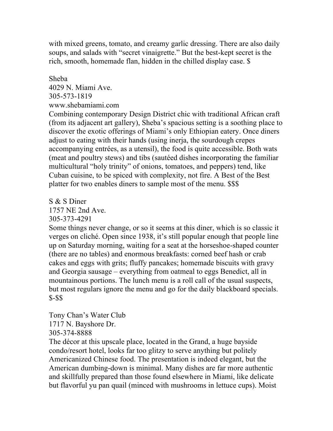with mixed greens, tomato, and creamy garlic dressing. There are also daily soups, and salads with "secret vinaigrette." But the best-kept secret is the rich, smooth, homemade flan, hidden in the chilled display case. \$

### Sheba

4029 N. Miami Ave. 305-573-1819 www.shebamiami.com

Combining contemporary Design District chic with traditional African craft (from its adjacent art gallery), Sheba's spacious setting is a soothing place to discover the exotic offerings of Miami's only Ethiopian eatery. Once diners adjust to eating with their hands (using inerja, the sourdough crepes accompanying entrées, as a utensil), the food is quite accessible. Both wats (meat and poultry stews) and tibs (sautéed dishes incorporating the familiar multicultural "holy trinity" of onions, tomatoes, and peppers) tend, like Cuban cuisine, to be spiced with complexity, not fire. A Best of the Best platter for two enables diners to sample most of the menu. \$\$\$

S & S Diner 1757 NE 2nd Ave. 305-373-4291

Some things never change, or so it seems at this diner, which is so classic it verges on cliché. Open since 1938, it's still popular enough that people line up on Saturday morning, waiting for a seat at the horseshoe-shaped counter (there are no tables) and enormous breakfasts: corned beef hash or crab cakes and eggs with grits; fluffy pancakes; homemade biscuits with gravy and Georgia sausage – everything from oatmeal to eggs Benedict, all in mountainous portions. The lunch menu is a roll call of the usual suspects, but most regulars ignore the menu and go for the daily blackboard specials. \$-\$\$

Tony Chan's Water Club 1717 N. Bayshore Dr. 305-374-8888

The décor at this upscale place, located in the Grand, a huge bayside condo/resort hotel, looks far too glitzy to serve anything but politely Americanized Chinese food. The presentation is indeed elegant, but the American dumbing-down is minimal. Many dishes are far more authentic and skillfully prepared than those found elsewhere in Miami, like delicate but flavorful yu pan quail (minced with mushrooms in lettuce cups). Moist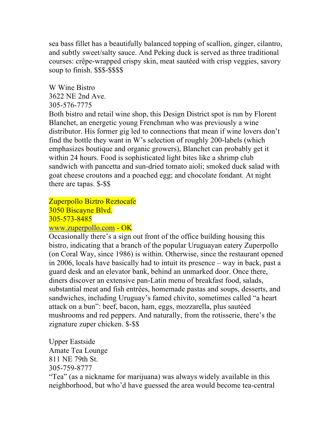sea bass fillet has a beautifully balanced topping of scallion, ginger, cilantro, and subtly sweet/salty sauce. And Peking duck is served as three traditional courses: crêpe-wrapped crispy skin, meat sautéed with crisp veggies, savory soup to finish. \$\$\$-\$\$\$\$

W Wine Bistro 3622 NE 2nd Ave. 305-576-7775

Both bistro and retail wine shop, this Design District spot is run by Florent Blanchet, an energetic young Frenchman who was previously a wine distributor. His former gig led to connections that mean if wine lovers don't find the bottle they want in W's selection of roughly 200-labels (which emphasizes boutique and organic growers), Blanchet can probably get it within 24 hours. Food is sophisticated light bites like a shrimp club sandwich with pancetta and sun-dried tomato aioli; smoked duck salad with goat cheese croutons and a poached egg; and chocolate fondant. At night there are tapas. \$-\$\$

Zuperpollo Biztro Reztocafe 3050 Biscayne Blvd. 305-573-8485 www.zuperpollo.com - OK

Occasionally there's a sign out front of the office building housing this bistro, indicating that a branch of the popular Uruguayan eatery Zuperpollo (on Coral Way, since 1986) is within. Otherwise, since the restaurant opened in 2006, locals have basically had to intuit its presence – way in back, past a guard desk and an elevator bank, behind an unmarked door. Once there, diners discover an extensive pan-Latin menu of breakfast food, salads, substantial meat and fish entrées, homemade pastas and soups, desserts, and sandwiches, including Uruguay's famed chivito, sometimes called "a heart attack on a bun": beef, bacon, ham, eggs, mozzarella, plus sautéed mushrooms and red peppers. And naturally, from the rotisserie, there's the zignature zuper chicken. \$-\$\$

Upper Eastside Amate Tea Lounge 811 NE 79th St. 305-759-8777

"Tea" (as a nickname for marijuana) was always widely available in this neighborhood, but who'd have guessed the area would become tea-central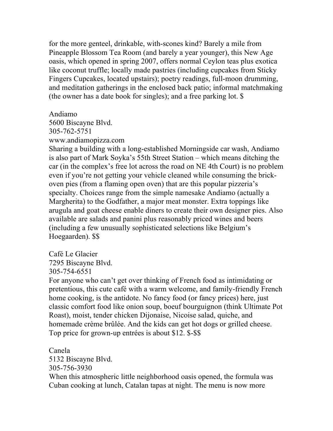for the more genteel, drinkable, with-scones kind? Barely a mile from Pineapple Blossom Tea Room (and barely a year younger), this New Age oasis, which opened in spring 2007, offers normal Ceylon teas plus exotica like coconut truffle; locally made pastries (including cupcakes from Sticky Fingers Cupcakes, located upstairs); poetry readings, full-moon drumming, and meditation gatherings in the enclosed back patio; informal matchmaking (the owner has a date book for singles); and a free parking lot. \$

Andiamo

5600 Biscayne Blvd. 305-762-5751 www.andiamopizza.com

Sharing a building with a long-established Morningside car wash, Andiamo is also part of Mark Soyka's 55th Street Station – which means ditching the car (in the complex's free lot across the road on NE 4th Court) is no problem even if you're not getting your vehicle cleaned while consuming the brickoven pies (from a flaming open oven) that are this popular pizzeria's specialty. Choices range from the simple namesake Andiamo (actually a Margherita) to the Godfather, a major meat monster. Extra toppings like arugula and goat cheese enable diners to create their own designer pies. Also available are salads and panini plus reasonably priced wines and beers (including a few unusually sophisticated selections like Belgium's Hoegaarden). \$\$

Café Le Glacier 7295 Biscayne Blvd. 305-754-6551

For anyone who can't get over thinking of French food as intimidating or pretentious, this cute café with a warm welcome, and family-friendly French home cooking, is the antidote. No fancy food (or fancy prices) here, just classic comfort food like onion soup, boeuf bourguignon (think Ultimate Pot Roast), moist, tender chicken Dijonaise, Nicoise salad, quiche, and homemade crème brûlée. And the kids can get hot dogs or grilled cheese. Top price for grown-up entrées is about \$12. \$-\$\$

Canela 5132 Biscayne Blvd. 305-756-3930 When this atmospheric little neighborhood oasis opened, the formula was Cuban cooking at lunch, Catalan tapas at night. The menu is now more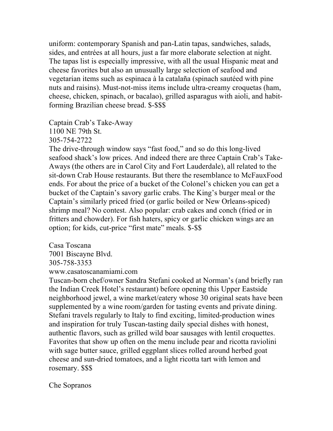uniform: contemporary Spanish and pan-Latin tapas, sandwiches, salads, sides, and entrées at all hours, just a far more elaborate selection at night. The tapas list is especially impressive, with all the usual Hispanic meat and cheese favorites but also an unusually large selection of seafood and vegetarian items such as espinaca à la catalaña (spinach sautéed with pine nuts and raisins). Must-not-miss items include ultra-creamy croquetas (ham, cheese, chicken, spinach, or bacalao), grilled asparagus with aioli, and habitforming Brazilian cheese bread. \$-\$\$\$

Captain Crab's Take-Away 1100 NE 79th St. 305-754-2722

The drive-through window says "fast food," and so do this long-lived seafood shack's low prices. And indeed there are three Captain Crab's Take-Aways (the others are in Carol City and Fort Lauderdale), all related to the sit-down Crab House restaurants. But there the resemblance to McFauxFood ends. For about the price of a bucket of the Colonel's chicken you can get a bucket of the Captain's savory garlic crabs. The King's burger meal or the Captain's similarly priced fried (or garlic boiled or New Orleans-spiced) shrimp meal? No contest. Also popular: crab cakes and conch (fried or in fritters and chowder). For fish haters, spicy or garlic chicken wings are an option; for kids, cut-price "first mate" meals. \$-\$\$

Casa Toscana 7001 Biscayne Blvd. 305-758-3353 www.casatoscanamiami.com

Tuscan-born chef/owner Sandra Stefani cooked at Norman's (and briefly ran the Indian Creek Hotel's restaurant) before opening this Upper Eastside neighborhood jewel, a wine market/eatery whose 30 original seats have been supplemented by a wine room/garden for tasting events and private dining. Stefani travels regularly to Italy to find exciting, limited-production wines and inspiration for truly Tuscan-tasting daily special dishes with honest, authentic flavors, such as grilled wild boar sausages with lentil croquettes. Favorites that show up often on the menu include pear and ricotta raviolini with sage butter sauce, grilled eggplant slices rolled around herbed goat cheese and sun-dried tomatoes, and a light ricotta tart with lemon and rosemary. \$\$\$

Che Sopranos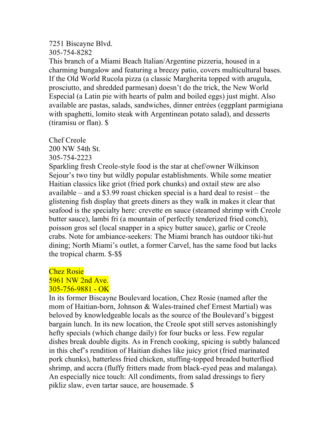#### 7251 Biscayne Blvd.

305-754-8282

This branch of a Miami Beach Italian/Argentine pizzeria, housed in a charming bungalow and featuring a breezy patio, covers multicultural bases. If the Old World Rucola pizza (a classic Margherita topped with arugula, prosciutto, and shredded parmesan) doesn't do the trick, the New World Especial (a Latin pie with hearts of palm and boiled eggs) just might. Also available are pastas, salads, sandwiches, dinner entrées (eggplant parmigiana with spaghetti, lomito steak with Argentinean potato salad), and desserts (tiramisu or flan). \$

Chef Creole 200 NW 54th St. 305-754-2223

Sparkling fresh Creole-style food is the star at chef/owner Wilkinson Sejour's two tiny but wildly popular establishments. While some meatier Haitian classics like griot (fried pork chunks) and oxtail stew are also available – and a \$3.99 roast chicken special is a hard deal to resist – the glistening fish display that greets diners as they walk in makes it clear that seafood is the specialty here: crevette en sauce (steamed shrimp with Creole butter sauce), lambi fri (a mountain of perfectly tenderized fried conch), poisson gros sel (local snapper in a spicy butter sauce), garlic or Creole crabs. Note for ambiance-seekers: The Miami branch has outdoor tiki-hut dining; North Miami's outlet, a former Carvel, has the same food but lacks the tropical charm. \$-\$\$

### Chez Rosie 5961 NW 2nd Ave. 305-756-9881 - OK

In its former Biscayne Boulevard location, Chez Rosie (named after the mom of Haitian-born, Johnson & Wales-trained chef Ernest Martial) was beloved by knowledgeable locals as the source of the Boulevard's biggest bargain lunch. In its new location, the Creole spot still serves astonishingly hefty specials (which change daily) for four bucks or less. Few regular dishes break double digits. As in French cooking, spicing is subtly balanced in this chef's rendition of Haitian dishes like juicy griot (fried marinated pork chunks), batterless fried chicken, stuffing-topped breaded butterflied shrimp, and accra (fluffy fritters made from black-eyed peas and malanga). An especially nice touch: All condiments, from salad dressings to fiery pikliz slaw, even tartar sauce, are housemade. \$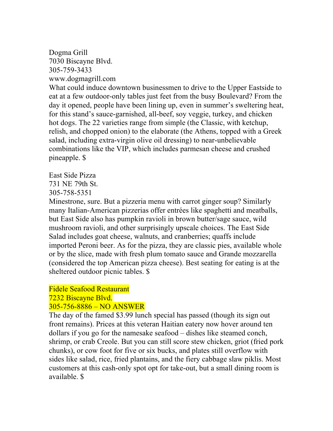#### Dogma Grill 7030 Biscayne Blvd. 305-759-3433 www.dogmagrill.com

What could induce downtown businessmen to drive to the Upper Eastside to eat at a few outdoor-only tables just feet from the busy Boulevard? From the day it opened, people have been lining up, even in summer's sweltering heat, for this stand's sauce-garnished, all-beef, soy veggie, turkey, and chicken hot dogs. The 22 varieties range from simple (the Classic, with ketchup, relish, and chopped onion) to the elaborate (the Athens, topped with a Greek salad, including extra-virgin olive oil dressing) to near-unbelievable combinations like the VIP, which includes parmesan cheese and crushed pineapple. \$

East Side Pizza 731 NE 79th St. 305-758-5351

Minestrone, sure. But a pizzeria menu with carrot ginger soup? Similarly many Italian-American pizzerias offer entrées like spaghetti and meatballs, but East Side also has pumpkin ravioli in brown butter/sage sauce, wild mushroom ravioli, and other surprisingly upscale choices. The East Side Salad includes goat cheese, walnuts, and cranberries; quaffs include imported Peroni beer. As for the pizza, they are classic pies, available whole or by the slice, made with fresh plum tomato sauce and Grande mozzarella (considered the top American pizza cheese). Best seating for eating is at the sheltered outdoor picnic tables. \$

#### Fidele Seafood Restaurant 7232 Biscayne Blvd. 305-756-8886 – NO ANSWER

The day of the famed \$3.99 lunch special has passed (though its sign out front remains). Prices at this veteran Haitian eatery now hover around ten dollars if you go for the namesake seafood – dishes like steamed conch, shrimp, or crab Creole. But you can still score stew chicken, griot (fried pork chunks), or cow foot for five or six bucks, and plates still overflow with sides like salad, rice, fried plantains, and the fiery cabbage slaw piklis. Most customers at this cash-only spot opt for take-out, but a small dining room is available. \$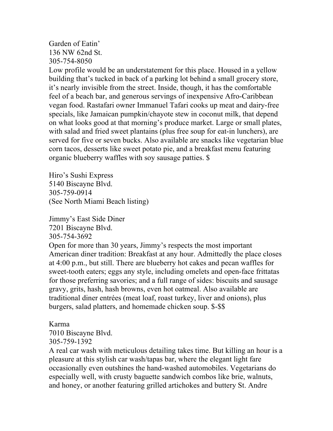### Garden of Eatin' 136 NW 62nd St. 305-754-8050

Low profile would be an understatement for this place. Housed in a yellow building that's tucked in back of a parking lot behind a small grocery store, it's nearly invisible from the street. Inside, though, it has the comfortable feel of a beach bar, and generous servings of inexpensive Afro-Caribbean vegan food. Rastafari owner Immanuel Tafari cooks up meat and dairy-free specials, like Jamaican pumpkin/chayote stew in coconut milk, that depend on what looks good at that morning's produce market. Large or small plates, with salad and fried sweet plantains (plus free soup for eat-in lunchers), are served for five or seven bucks. Also available are snacks like vegetarian blue corn tacos, desserts like sweet potato pie, and a breakfast menu featuring organic blueberry waffles with soy sausage patties. \$

Hiro's Sushi Express 5140 Biscayne Blvd. 305-759-0914 (See North Miami Beach listing)

Jimmy's East Side Diner 7201 Biscayne Blvd. 305-754-3692

Open for more than 30 years, Jimmy's respects the most important American diner tradition: Breakfast at any hour. Admittedly the place closes at 4:00 p.m., but still. There are blueberry hot cakes and pecan waffles for sweet-tooth eaters; eggs any style, including omelets and open-face frittatas for those preferring savories; and a full range of sides: biscuits and sausage gravy, grits, hash, hash browns, even hot oatmeal. Also available are traditional diner entrées (meat loaf, roast turkey, liver and onions), plus burgers, salad platters, and homemade chicken soup. \$-\$\$

Karma 7010 Biscayne Blvd. 305-759-1392

A real car wash with meticulous detailing takes time. But killing an hour is a pleasure at this stylish car wash/tapas bar, where the elegant light fare occasionally even outshines the hand-washed automobiles. Vegetarians do especially well, with crusty baguette sandwich combos like brie, walnuts, and honey, or another featuring grilled artichokes and buttery St. Andre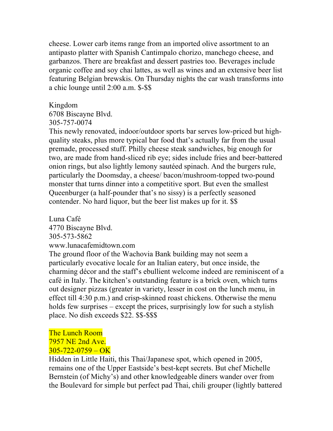cheese. Lower carb items range from an imported olive assortment to an antipasto platter with Spanish Cantimpalo chorizo, manchego cheese, and garbanzos. There are breakfast and dessert pastries too. Beverages include organic coffee and soy chai lattes, as well as wines and an extensive beer list featuring Belgian brewskis. On Thursday nights the car wash transforms into a chic lounge until 2:00 a.m. \$-\$\$

#### Kingdom

6708 Biscayne Blvd.

305-757-0074

This newly renovated, indoor/outdoor sports bar serves low-priced but highquality steaks, plus more typical bar food that's actually far from the usual premade, processed stuff. Philly cheese steak sandwiches, big enough for two, are made from hand-sliced rib eye; sides include fries and beer-battered onion rings, but also lightly lemony sautéed spinach. And the burgers rule, particularly the Doomsday, a cheese/ bacon/mushroom-topped two-pound monster that turns dinner into a competitive sport. But even the smallest Queenburger (a half-pounder that's no sissy) is a perfectly seasoned contender. No hard liquor, but the beer list makes up for it. \$\$

Luna Café 4770 Biscayne Blvd. 305-573-5862 www.lunacafemidtown.com

The ground floor of the Wachovia Bank building may not seem a particularly evocative locale for an Italian eatery, but once inside, the charming décor and the staff's ebullient welcome indeed are reminiscent of a café in Italy. The kitchen's outstanding feature is a brick oven, which turns out designer pizzas (greater in variety, lesser in cost on the lunch menu, in effect till 4:30 p.m.) and crisp-skinned roast chickens. Otherwise the menu holds few surprises – except the prices, surprisingly low for such a stylish place. No dish exceeds \$22. \$\$-\$\$\$

### The Lunch Room 7957 NE 2nd Ave.  $305 - 722 - 0759 - OK$

Hidden in Little Haiti, this Thai/Japanese spot, which opened in 2005, remains one of the Upper Eastside's best-kept secrets. But chef Michelle Bernstein (of Michy's) and other knowledgeable diners wander over from the Boulevard for simple but perfect pad Thai, chili grouper (lightly battered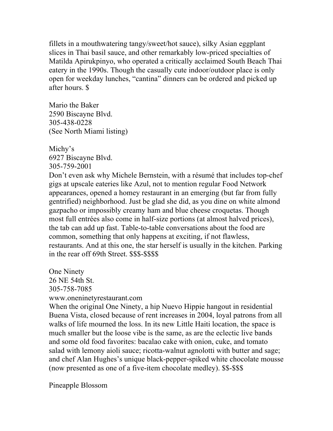fillets in a mouthwatering tangy/sweet/hot sauce), silky Asian eggplant slices in Thai basil sauce, and other remarkably low-priced specialties of Matilda Apirukpinyo, who operated a critically acclaimed South Beach Thai eatery in the 1990s. Though the casually cute indoor/outdoor place is only open for weekday lunches, "cantina" dinners can be ordered and picked up after hours. \$

Mario the Baker 2590 Biscayne Blvd. 305-438-0228 (See North Miami listing)

Michy's 6927 Biscayne Blvd. 305-759-2001

Don't even ask why Michele Bernstein, with a résumé that includes top-chef gigs at upscale eateries like Azul, not to mention regular Food Network appearances, opened a homey restaurant in an emerging (but far from fully gentrified) neighborhood. Just be glad she did, as you dine on white almond gazpacho or impossibly creamy ham and blue cheese croquetas. Though most full entrées also come in half-size portions (at almost halved prices), the tab can add up fast. Table-to-table conversations about the food are common, something that only happens at exciting, if not flawless, restaurants. And at this one, the star herself is usually in the kitchen. Parking in the rear off 69th Street. \$\$\$-\$\$\$\$

One Ninety 26 NE 54th St. 305-758-7085 www.oneninetyrestaurant.com

When the original One Ninety, a hip Nuevo Hippie hangout in residential Buena Vista, closed because of rent increases in 2004, loyal patrons from all walks of life mourned the loss. In its new Little Haiti location, the space is much smaller but the loose vibe is the same, as are the eclectic live bands and some old food favorites: bacalao cake with onion, cuke, and tomato salad with lemony aioli sauce; ricotta-walnut agnolotti with butter and sage; and chef Alan Hughes's unique black-pepper-spiked white chocolate mousse (now presented as one of a five-item chocolate medley). \$\$-\$\$\$

Pineapple Blossom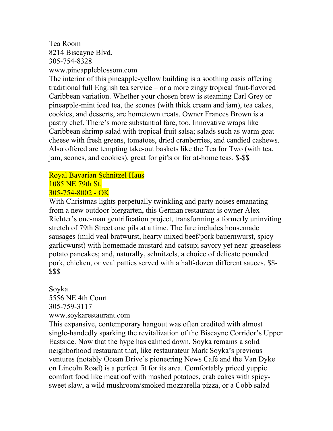# Tea Room 8214 Biscayne Blvd. 305-754-8328

www.pineappleblossom.com The interior of this pineapple-yellow building is a soothing oasis offering traditional full English tea service – or a more zingy tropical fruit-flavored Caribbean variation. Whether your chosen brew is steaming Earl Grey or pineapple-mint iced tea, the scones (with thick cream and jam), tea cakes, cookies, and desserts, are hometown treats. Owner Frances Brown is a pastry chef. There's more substantial fare, too. Innovative wraps like Caribbean shrimp salad with tropical fruit salsa; salads such as warm goat cheese with fresh greens, tomatoes, dried cranberries, and candied cashews. Also offered are tempting take-out baskets like the Tea for Two (with tea, jam, scones, and cookies), great for gifts or for at-home teas. \$-\$\$

#### Royal Bavarian Schnitzel Haus 1085 NE 79th St.

# 305-754-8002 - OK

With Christmas lights perpetually twinkling and party noises emanating from a new outdoor biergarten, this German restaurant is owner Alex Richter's one-man gentrification project, transforming a formerly uninviting stretch of 79th Street one pils at a time. The fare includes housemade sausages (mild veal bratwurst, hearty mixed beef/pork bauernwurst, spicy garlicwurst) with homemade mustard and catsup; savory yet near-greaseless potato pancakes; and, naturally, schnitzels, a choice of delicate pounded pork, chicken, or veal patties served with a half-dozen different sauces. \$\$- \$\$\$

Soyka 5556 NE 4th Court 305-759-3117

www.soykarestaurant.com

This expansive, contemporary hangout was often credited with almost single-handedly sparking the revitalization of the Biscayne Corridor's Upper Eastside. Now that the hype has calmed down, Soyka remains a solid neighborhood restaurant that, like restaurateur Mark Soyka's previous ventures (notably Ocean Drive's pioneering News Café and the Van Dyke on Lincoln Road) is a perfect fit for its area. Comfortably priced yuppie comfort food like meatloaf with mashed potatoes, crab cakes with spicysweet slaw, a wild mushroom/smoked mozzarella pizza, or a Cobb salad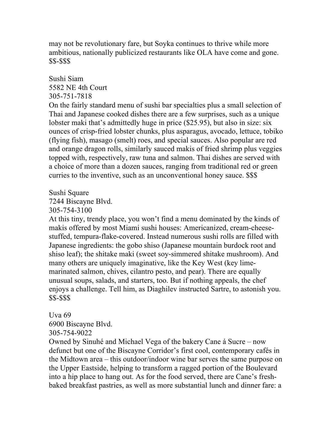may not be revolutionary fare, but Soyka continues to thrive while more ambitious, nationally publicized restaurants like OLA have come and gone. \$\$-\$\$\$

### Sushi Siam 5582 NE 4th Court 305-751-7818

On the fairly standard menu of sushi bar specialties plus a small selection of Thai and Japanese cooked dishes there are a few surprises, such as a unique lobster maki that's admittedly huge in price (\$25.95), but also in size: six ounces of crisp-fried lobster chunks, plus asparagus, avocado, lettuce, tobiko (flying fish), masago (smelt) roes, and special sauces. Also popular are red and orange dragon rolls, similarly sauced makis of fried shrimp plus veggies topped with, respectively, raw tuna and salmon. Thai dishes are served with a choice of more than a dozen sauces, ranging from traditional red or green curries to the inventive, such as an unconventional honey sauce. \$\$\$

Sushi Square 7244 Biscayne Blvd.

305-754-3100

At this tiny, trendy place, you won't find a menu dominated by the kinds of makis offered by most Miami sushi houses: Americanized, cream-cheesestuffed, tempura-flake-covered. Instead numerous sushi rolls are filled with Japanese ingredients: the gobo shiso (Japanese mountain burdock root and shiso leaf); the shitake maki (sweet soy-simmered shitake mushroom). And many others are uniquely imaginative, like the Key West (key limemarinated salmon, chives, cilantro pesto, and pear). There are equally unusual soups, salads, and starters, too. But if nothing appeals, the chef enjoys a challenge. Tell him, as Diaghilev instructed Sartre, to astonish you. \$\$-\$\$\$

### Uva  $69$ 6900 Biscayne Blvd.

305-754-9022

Owned by Sinuhé and Michael Vega of the bakery Cane á Sucre – now defunct but one of the Biscayne Corridor's first cool, contemporary cafés in the Midtown area – this outdoor/indoor wine bar serves the same purpose on the Upper Eastside, helping to transform a ragged portion of the Boulevard into a hip place to hang out. As for the food served, there are Cane's freshbaked breakfast pastries, as well as more substantial lunch and dinner fare: a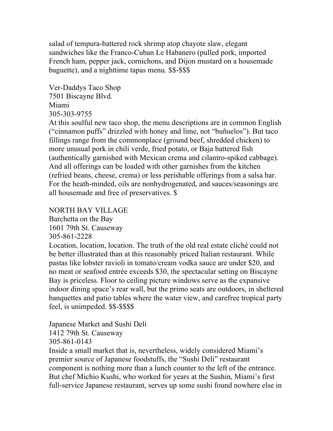salad of tempura-battered rock shrimp atop chayote slaw, elegant sandwiches like the Franco-Cuban Le Habanero (pulled pork, imported French ham, pepper jack, cornichons, and Dijon mustard on a housemade baguette), and a nighttime tapas menu. \$\$-\$\$\$

Ver-Daddys Taco Shop 7501 Biscayne Blvd. Miami 305-303-9755

At this soulful new taco shop, the menu descriptions are in common English ("cinnamon puffs" drizzled with honey and lime, not "buñuelos"). But taco fillings range from the commonplace (ground beef, shredded chicken) to more unusual pork in chili verde, fried potato, or Baja battered fish (authentically garnished with Mexican crema and cilantro-spiked cabbage). And all offerings can be loaded with other garnishes from the kitchen (refried beans, cheese, crema) or less perishable offerings from a salsa bar. For the heath-minded, oils are nonhydrogenated, and sauces/seasonings are all housemade and free of preservatives. \$

NORTH BAY VILLAGE

Barchetta on the Bay

1601 79th St. Causeway

305-861-2228

Location, location, location. The truth of the old real estate cliché could not be better illustrated than at this reasonably priced Italian restaurant. While pastas like lobster ravioli in tomato/cream vodka sauce are under \$20, and no meat or seafood entrée exceeds \$30, the spectacular setting on Biscayne Bay is priceless. Floor to ceiling picture windows serve as the expansive indoor dining space's rear wall, but the primo seats are outdoors, in sheltered banquettes and patio tables where the water view, and carefree tropical party feel, is unimpeded. \$\$-\$\$\$\$

Japanese Market and Sushi Deli 1412 79th St. Causeway 305-861-0143

Inside a small market that is, nevertheless, widely considered Miami's premier source of Japanese foodstuffs, the "Sushi Deli" restaurant component is nothing more than a lunch counter to the left of the entrance. But chef Michio Kushi, who worked for years at the Sushin, Miami's first full-service Japanese restaurant, serves up some sushi found nowhere else in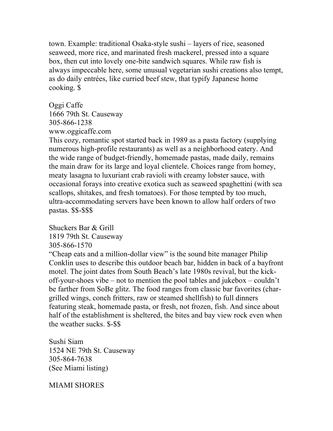town. Example: traditional Osaka-style sushi – layers of rice, seasoned seaweed, more rice, and marinated fresh mackerel, pressed into a square box, then cut into lovely one-bite sandwich squares. While raw fish is always impeccable here, some unusual vegetarian sushi creations also tempt, as do daily entrées, like curried beef stew, that typify Japanese home cooking. \$

#### Oggi Caffe

1666 79th St. Causeway 305-866-1238 www.oggicaffe.com

This cozy, romantic spot started back in 1989 as a pasta factory (supplying numerous high-profile restaurants) as well as a neighborhood eatery. And the wide range of budget-friendly, homemade pastas, made daily, remains the main draw for its large and loyal clientele. Choices range from homey, meaty lasagna to luxuriant crab ravioli with creamy lobster sauce, with occasional forays into creative exotica such as seaweed spaghettini (with sea scallops, shitakes, and fresh tomatoes). For those tempted by too much, ultra-accommodating servers have been known to allow half orders of two pastas. \$\$-\$\$\$

Shuckers Bar & Grill 1819 79th St. Causeway

305-866-1570

"Cheap eats and a million-dollar view" is the sound bite manager Philip Conklin uses to describe this outdoor beach bar, hidden in back of a bayfront motel. The joint dates from South Beach's late 1980s revival, but the kickoff-your-shoes vibe – not to mention the pool tables and jukebox – couldn't be farther from SoBe glitz. The food ranges from classic bar favorites (chargrilled wings, conch fritters, raw or steamed shellfish) to full dinners featuring steak, homemade pasta, or fresh, not frozen, fish. And since about half of the establishment is sheltered, the bites and bay view rock even when the weather sucks. \$-\$\$

Sushi Siam 1524 NE 79th St. Causeway 305-864-7638 (See Miami listing)

MIAMI SHORES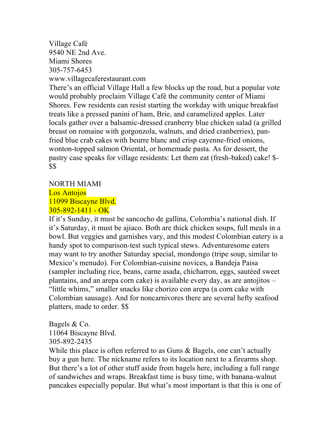#### Village Café 9540 NE 2nd Ave. Miami Shores 305-757-6453 www.villagecaferestaurant.com

There's an official Village Hall a few blocks up the road, but a popular vote would probably proclaim Village Café the community center of Miami Shores. Few residents can resist starting the workday with unique breakfast treats like a pressed panini of ham, Brie, and caramelized apples. Later locals gather over a balsamic-dressed cranberry blue chicken salad (a grilled breast on romaine with gorgonzola, walnuts, and dried cranberries), panfried blue crab cakes with beurre blanc and crisp cayenne-fried onions, wonton-topped salmon Oriental, or homemade pasta. As for dessert, the pastry case speaks for village residents: Let them eat (fresh-baked) cake! \$- \$\$

#### NORTH MIAMI

Los Antojos 11099 Biscayne Blvd. 305-892-1411 - OK

If it's Sunday, it must be sancocho de gallina, Colombia's national dish. If it's Saturday, it must be ajiaco. Both are thick chicken soups, full meals in a bowl. But veggies and garnishes vary, and this modest Colombian eatery is a handy spot to comparison-test such typical stews. Adventuresome eaters may want to try another Saturday special, mondongo (tripe soup, similar to Mexico's menudo). For Colombian-cuisine novices, a Bandeja Paisa (sampler including rice, beans, carne asada, chicharron, eggs, sautéed sweet plantains, and an arepa corn cake) is available every day, as are antojitos – "little whims," smaller snacks like chorizo con arepa (a corn cake with Colombian sausage). And for noncarnivores there are several hefty seafood platters, made to order. \$\$

Bagels & Co. 11064 Biscayne Blvd. 305-892-2435

While this place is often referred to as Guns & Bagels, one can't actually buy a gun here. The nickname refers to its location next to a firearms shop. But there's a lot of other stuff aside from bagels here, including a full range of sandwiches and wraps. Breakfast time is busy time, with banana-walnut pancakes especially popular. But what's most important is that this is one of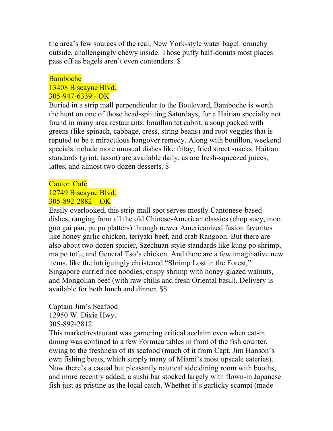the area's few sources of the real, New York-style water bagel: crunchy outside, challengingly chewy inside. Those puffy half-donuts most places pass off as bagels aren't even contenders. \$

#### Bamboche 13408 Biscayne Blvd. 305-947-6339 - OK

Buried in a strip mall perpendicular to the Boulevard, Bamboche is worth the hunt on one of those head-splitting Saturdays, for a Haitian specialty not found in many area restaurants: bouillon tet cabrit, a soup packed with greens (like spinach, cabbage, cress, string beans) and root veggies that is reputed to be a miraculous hangover remedy. Along with bouillon, weekend specials include more unusual dishes like fritay, fried street snacks. Haitian standards (griot, tassot) are available daily, as are fresh-squeezed juices, lattes, and almost two dozen desserts. \$

## Canton Café

#### 12749 Biscayne Blvd.  $305 - 892 - 2882 - OK$

Easily overlooked, this strip-mall spot serves mostly Cantonese-based dishes, ranging from all the old Chinese-American classics (chop suey, moo goo gai pan, pu pu platters) through newer Americanized fusion favorites like honey garlic chicken, teriyaki beef, and crab Rangoon. But there are also about two dozen spicier, Szechuan-style standards like kung po shrimp, ma po tofu, and General Tso's chicken. And there are a few imaginative new items, like the intriguingly christened "Shrimp Lost in the Forest," Singapore curried rice noodles, crispy shrimp with honey-glazed walnuts, and Mongolian beef (with raw chilis and fresh Oriental basil). Delivery is available for both lunch and dinner. \$\$

Captain Jim's Seafood 12950 W. Dixie Hwy. 305-892-2812

This market/restaurant was garnering critical acclaim even when eat-in dining was confined to a few Formica tables in front of the fish counter, owing to the freshness of its seafood (much of it from Capt. Jim Hanson's own fishing boats, which supply many of Miami's most upscale eateries). Now there's a casual but pleasantly nautical side dining room with booths, and more recently added, a sushi bar stocked largely with flown-in Japanese fish just as pristine as the local catch. Whether it's garlicky scampi (made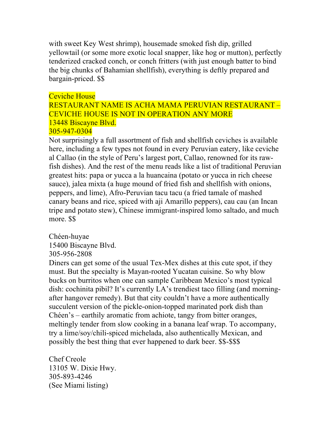with sweet Key West shrimp), housemade smoked fish dip, grilled yellowtail (or some more exotic local snapper, like hog or mutton), perfectly tenderized cracked conch, or conch fritters (with just enough batter to bind the big chunks of Bahamian shellfish), everything is deftly prepared and bargain-priced. \$\$

#### Ceviche House

RESTAURANT NAME IS ACHA MAMA PERUVIAN RESTAURANT – CEVICHE HOUSE IS NOT IN OPERATION ANY MORE 13448 Biscayne Blvd. 305-947-0304

Not surprisingly a full assortment of fish and shellfish ceviches is available here, including a few types not found in every Peruvian eatery, like ceviche al Callao (in the style of Peru's largest port, Callao, renowned for its rawfish dishes). And the rest of the menu reads like a list of traditional Peruvian greatest hits: papa or yucca a la huancaina (potato or yucca in rich cheese sauce), jalea mixta (a huge mound of fried fish and shellfish with onions, peppers, and lime), Afro-Peruvian tacu tacu (a fried tamale of mashed canary beans and rice, spiced with aji Amarillo peppers), cau cau (an Incan tripe and potato stew), Chinese immigrant-inspired lomo saltado, and much more. \$\$

Chéen-huyae 15400 Biscayne Blvd. 305-956-2808

Diners can get some of the usual Tex-Mex dishes at this cute spot, if they must. But the specialty is Mayan-rooted Yucatan cuisine. So why blow bucks on burritos when one can sample Caribbean Mexico's most typical dish: cochinita pibil? It's currently LA's trendiest taco filling (and morningafter hangover remedy). But that city couldn't have a more authentically succulent version of the pickle-onion-topped marinated pork dish than Chéen's – earthily aromatic from achiote, tangy from bitter oranges, meltingly tender from slow cooking in a banana leaf wrap. To accompany, try a lime/soy/chili-spiced michelada, also authentically Mexican, and possibly the best thing that ever happened to dark beer. \$\$-\$\$\$

Chef Creole 13105 W. Dixie Hwy. 305-893-4246 (See Miami listing)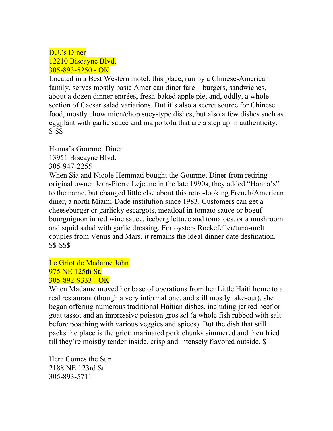### D.J.'s Diner 12210 Biscayne Blvd. 305-893-5250 - OK

Located in a Best Western motel, this place, run by a Chinese-American family, serves mostly basic American diner fare – burgers, sandwiches, about a dozen dinner entrées, fresh-baked apple pie, and, oddly, a whole section of Caesar salad variations. But it's also a secret source for Chinese food, mostly chow mien/chop suey-type dishes, but also a few dishes such as eggplant with garlic sauce and ma po tofu that are a step up in authenticity. \$-\$\$

Hanna's Gourmet Diner 13951 Biscayne Blvd. 305-947-2255

When Sia and Nicole Hemmati bought the Gourmet Diner from retiring original owner Jean-Pierre Lejeune in the late 1990s, they added "Hanna's" to the name, but changed little else about this retro-looking French/American diner, a north Miami-Dade institution since 1983. Customers can get a cheeseburger or garlicky escargots, meatloaf in tomato sauce or boeuf bourguignon in red wine sauce, iceberg lettuce and tomatoes, or a mushroom and squid salad with garlic dressing. For oysters Rockefeller/tuna-melt couples from Venus and Mars, it remains the ideal dinner date destination. \$\$-\$\$\$

Le Griot de Madame John 975 NE 125th St.  $305 - 892 - 9333 - OK$ 

When Madame moved her base of operations from her Little Haiti home to a real restaurant (though a very informal one, and still mostly take-out), she began offering numerous traditional Haitian dishes, including jerked beef or goat tassot and an impressive poisson gros sel (a whole fish rubbed with salt before poaching with various veggies and spices). But the dish that still packs the place is the griot: marinated pork chunks simmered and then fried till they're moistly tender inside, crisp and intensely flavored outside. \$

Here Comes the Sun 2188 NE 123rd St. 305-893-5711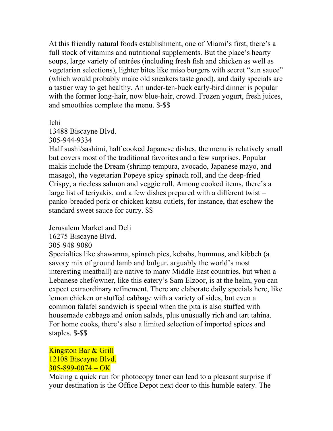At this friendly natural foods establishment, one of Miami's first, there's a full stock of vitamins and nutritional supplements. But the place's hearty soups, large variety of entrées (including fresh fish and chicken as well as vegetarian selections), lighter bites like miso burgers with secret "sun sauce" (which would probably make old sneakers taste good), and daily specials are a tastier way to get healthy. An under-ten-buck early-bird dinner is popular with the former long-hair, now blue-hair, crowd. Frozen yogurt, fresh juices, and smoothies complete the menu. \$-\$\$

Ichi

13488 Biscayne Blvd.

305-944-9334

Half sushi/sashimi, half cooked Japanese dishes, the menu is relatively small but covers most of the traditional favorites and a few surprises. Popular makis include the Dream (shrimp tempura, avocado, Japanese mayo, and masago), the vegetarian Popeye spicy spinach roll, and the deep-fried Crispy, a riceless salmon and veggie roll. Among cooked items, there's a large list of teriyakis, and a few dishes prepared with a different twist – panko-breaded pork or chicken katsu cutlets, for instance, that eschew the standard sweet sauce for curry. \$\$

Jerusalem Market and Deli

16275 Biscayne Blvd.

305-948-9080

Specialties like shawarma, spinach pies, kebabs, hummus, and kibbeh (a savory mix of ground lamb and bulgur, arguably the world's most interesting meatball) are native to many Middle East countries, but when a Lebanese chef/owner, like this eatery's Sam Elzoor, is at the helm, you can expect extraordinary refinement. There are elaborate daily specials here, like lemon chicken or stuffed cabbage with a variety of sides, but even a common falafel sandwich is special when the pita is also stuffed with housemade cabbage and onion salads, plus unusually rich and tart tahina. For home cooks, there's also a limited selection of imported spices and staples. \$-\$\$

### Kingston Bar & Grill 12108 Biscayne Blvd.  $305 - 899 - 0074 - OK$

Making a quick run for photocopy toner can lead to a pleasant surprise if your destination is the Office Depot next door to this humble eatery. The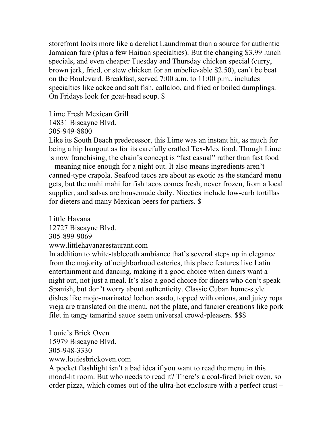storefront looks more like a derelict Laundromat than a source for authentic Jamaican fare (plus a few Haitian specialties). But the changing \$3.99 lunch specials, and even cheaper Tuesday and Thursday chicken special (curry, brown jerk, fried, or stew chicken for an unbelievable \$2.50), can't be beat on the Boulevard. Breakfast, served 7:00 a.m. to 11:00 p.m., includes specialties like ackee and salt fish, callaloo, and fried or boiled dumplings. On Fridays look for goat-head soup. \$

Lime Fresh Mexican Grill

14831 Biscayne Blvd.

305-949-8800

Like its South Beach predecessor, this Lime was an instant hit, as much for being a hip hangout as for its carefully crafted Tex-Mex food. Though Lime is now franchising, the chain's concept is "fast casual" rather than fast food – meaning nice enough for a night out. It also means ingredients aren't canned-type crapola. Seafood tacos are about as exotic as the standard menu gets, but the mahi mahi for fish tacos comes fresh, never frozen, from a local supplier, and salsas are housemade daily. Niceties include low-carb tortillas for dieters and many Mexican beers for partiers. \$

Little Havana 12727 Biscayne Blvd. 305-899-9069 www.littlehavanarestaurant.com

In addition to white-tablecoth ambiance that's several steps up in elegance from the majority of neighborhood eateries, this place features live Latin entertainment and dancing, making it a good choice when diners want a night out, not just a meal. It's also a good choice for diners who don't speak Spanish, but don't worry about authenticity. Classic Cuban home-style dishes like mojo-marinated lechon asado, topped with onions, and juicy ropa vieja are translated on the menu, not the plate, and fancier creations like pork filet in tangy tamarind sauce seem universal crowd-pleasers. \$\$\$

Louie's Brick Oven 15979 Biscayne Blvd. 305-948-3330 www.louiesbrickoven.com

A pocket flashlight isn't a bad idea if you want to read the menu in this mood-lit room. But who needs to read it? There's a coal-fired brick oven, so order pizza, which comes out of the ultra-hot enclosure with a perfect crust –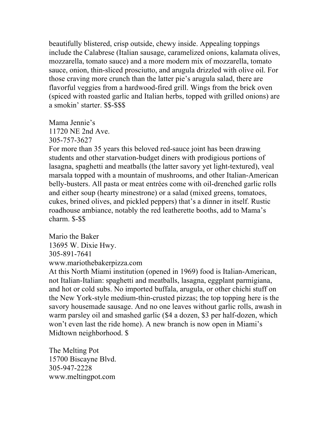beautifully blistered, crisp outside, chewy inside. Appealing toppings include the Calabrese (Italian sausage, caramelized onions, kalamata olives, mozzarella, tomato sauce) and a more modern mix of mozzarella, tomato sauce, onion, thin-sliced prosciutto, and arugula drizzled with olive oil. For those craving more crunch than the latter pie's arugula salad, there are flavorful veggies from a hardwood-fired grill. Wings from the brick oven (spiced with roasted garlic and Italian herbs, topped with grilled onions) are a smokin' starter. \$\$-\$\$\$

Mama Jennie's 11720 NE 2nd Ave. 305-757-3627

For more than 35 years this beloved red-sauce joint has been drawing students and other starvation-budget diners with prodigious portions of lasagna, spaghetti and meatballs (the latter savory yet light-textured), veal marsala topped with a mountain of mushrooms, and other Italian-American belly-busters. All pasta or meat entrées come with oil-drenched garlic rolls and either soup (hearty minestrone) or a salad (mixed greens, tomatoes, cukes, brined olives, and pickled peppers) that's a dinner in itself. Rustic roadhouse ambiance, notably the red leatherette booths, add to Mama's charm. \$-\$\$

Mario the Baker 13695 W. Dixie Hwy. 305-891-7641 www.mariothebakerpizza.com

At this North Miami institution (opened in 1969) food is Italian-American, not Italian-Italian: spaghetti and meatballs, lasagna, eggplant parmigiana, and hot or cold subs. No imported buffala, arugula, or other chichi stuff on the New York-style medium-thin-crusted pizzas; the top topping here is the savory housemade sausage. And no one leaves without garlic rolls, awash in warm parsley oil and smashed garlic (\$4 a dozen, \$3 per half-dozen, which won't even last the ride home). A new branch is now open in Miami's Midtown neighborhood. \$

The Melting Pot 15700 Biscayne Blvd. 305-947-2228 www.meltingpot.com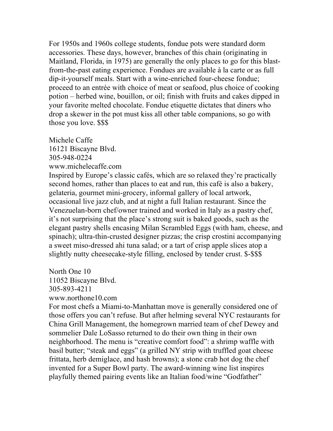For 1950s and 1960s college students, fondue pots were standard dorm accessories. These days, however, branches of this chain (originating in Maitland, Florida, in 1975) are generally the only places to go for this blastfrom-the-past eating experience. Fondues are available à la carte or as full dip-it-yourself meals. Start with a wine-enriched four-cheese fondue; proceed to an entrée with choice of meat or seafood, plus choice of cooking potion – herbed wine, bouillon, or oil; finish with fruits and cakes dipped in your favorite melted chocolate. Fondue etiquette dictates that diners who drop a skewer in the pot must kiss all other table companions, so go with those you love. \$\$\$

Michele Caffe 16121 Biscayne Blvd. 305-948-0224 www.michelecaffe.com

Inspired by Europe's classic cafés, which are so relaxed they're practically second homes, rather than places to eat and run, this café is also a bakery, gelateria, gourmet mini-grocery, informal gallery of local artwork, occasional live jazz club, and at night a full Italian restaurant. Since the Venezuelan-born chef/owner trained and worked in Italy as a pastry chef, it's not surprising that the place's strong suit is baked goods, such as the elegant pastry shells encasing Milan Scrambled Eggs (with ham, cheese, and spinach); ultra-thin-crusted designer pizzas; the crisp crostini accompanying a sweet miso-dressed ahi tuna salad; or a tart of crisp apple slices atop a slightly nutty cheesecake-style filling, enclosed by tender crust. \$-\$\$\$

North One 10 11052 Biscayne Blvd. 305-893-4211 www.northone10.com

For most chefs a Miami-to-Manhattan move is generally considered one of those offers you can't refuse. But after helming several NYC restaurants for China Grill Management, the homegrown married team of chef Dewey and sommelier Dale LoSasso returned to do their own thing in their own neighborhood. The menu is "creative comfort food": a shrimp waffle with basil butter; "steak and eggs" (a grilled NY strip with truffled goat cheese frittata, herb demiglace, and hash browns); a stone crab hot dog the chef invented for a Super Bowl party. The award-winning wine list inspires playfully themed pairing events like an Italian food/wine "Godfather"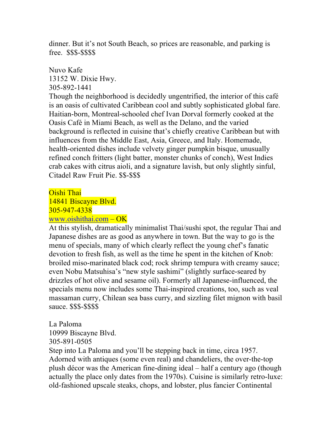dinner. But it's not South Beach, so prices are reasonable, and parking is free. \$\$\$-\$\$\$\$

Nuvo Kafe 13152 W. Dixie Hwy. 305-892-1441

Though the neighborhood is decidedly ungentrified, the interior of this café is an oasis of cultivated Caribbean cool and subtly sophisticated global fare. Haitian-born, Montreal-schooled chef Ivan Dorval formerly cooked at the Oasis Café in Miami Beach, as well as the Delano, and the varied background is reflected in cuisine that's chiefly creative Caribbean but with influences from the Middle East, Asia, Greece, and Italy. Homemade, health-oriented dishes include velvety ginger pumpkin bisque, unusually refined conch fritters (light batter, monster chunks of conch), West Indies crab cakes with citrus aioli, and a signature lavish, but only slightly sinful, Citadel Raw Fruit Pie. \$\$-\$\$\$

# Oishi Thai 14841 Biscayne Blvd. 305-947-4338 www.oishithai.com – OK

At this stylish, dramatically minimalist Thai/sushi spot, the regular Thai and Japanese dishes are as good as anywhere in town. But the way to go is the menu of specials, many of which clearly reflect the young chef's fanatic devotion to fresh fish, as well as the time he spent in the kitchen of Knob: broiled miso-marinated black cod; rock shrimp tempura with creamy sauce; even Nobu Matsuhisa's "new style sashimi" (slightly surface-seared by drizzles of hot olive and sesame oil). Formerly all Japanese-influenced, the specials menu now includes some Thai-inspired creations, too, such as veal massaman curry, Chilean sea bass curry, and sizzling filet mignon with basil sauce. \$\$\$-\$\$\$\$

La Paloma 10999 Biscayne Blvd. 305-891-0505

Step into La Paloma and you'll be stepping back in time, circa 1957. Adorned with antiques (some even real) and chandeliers, the over-the-top plush décor was the American fine-dining ideal – half a century ago (though actually the place only dates from the 1970s). Cuisine is similarly retro-luxe: old-fashioned upscale steaks, chops, and lobster, plus fancier Continental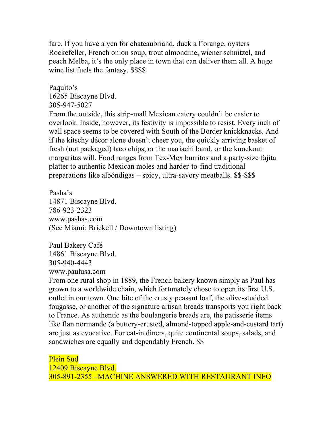fare. If you have a yen for chateaubriand, duck a l'orange, oysters Rockefeller, French onion soup, trout almondine, wiener schnitzel, and peach Melba, it's the only place in town that can deliver them all. A huge wine list fuels the fantasy. \$\$\$\$

Paquito's 16265 Biscayne Blvd. 305-947-5027

From the outside, this strip-mall Mexican eatery couldn't be easier to overlook. Inside, however, its festivity is impossible to resist. Every inch of wall space seems to be covered with South of the Border knickknacks. And if the kitschy décor alone doesn't cheer you, the quickly arriving basket of fresh (not packaged) taco chips, or the mariachi band, or the knockout margaritas will. Food ranges from Tex-Mex burritos and a party-size fajita platter to authentic Mexican moles and harder-to-find traditional preparations like albóndigas – spicy, ultra-savory meatballs. \$\$-\$\$\$

Pasha's 14871 Biscayne Blvd. 786-923-2323 www.pashas.com (See Miami: Brickell / Downtown listing)

Paul Bakery Café 14861 Biscayne Blvd. 305-940-4443 www.paulusa.com

From one rural shop in 1889, the French bakery known simply as Paul has grown to a worldwide chain, which fortunately chose to open its first U.S. outlet in our town. One bite of the crusty peasant loaf, the olive-studded fougasse, or another of the signature artisan breads transports you right back to France. As authentic as the boulangerie breads are, the patisserie items like flan normande (a buttery-crusted, almond-topped apple-and-custard tart) are just as evocative. For eat-in diners, quite continental soups, salads, and sandwiches are equally and dependably French. \$\$

Plein Sud 12409 Biscayne Blvd. 305-891-2355 –MACHINE ANSWERED WITH RESTAURANT INFO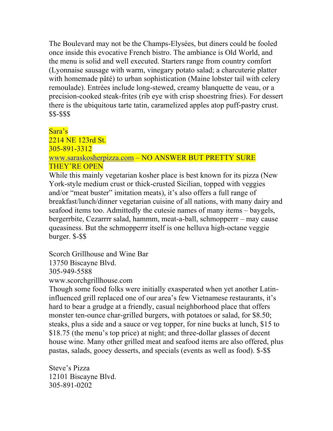The Boulevard may not be the Champs-Elysées, but diners could be fooled once inside this evocative French bistro. The ambiance is Old World, and the menu is solid and well executed. Starters range from country comfort (Lyonnaise sausage with warm, vinegary potato salad; a charcuterie platter with homemade pâté) to urban sophistication (Maine lobster tail with celery remoulade). Entrées include long-stewed, creamy blanquette de veau, or a precision-cooked steak-frites (rib eye with crisp shoestring fries). For dessert there is the ubiquitous tarte tatin, caramelized apples atop puff-pastry crust. \$\$-\$\$\$

### Sara's

2214 NE 123rd St. 305-891-3312 www.saraskosherpizza.com – NO ANSWER BUT PRETTY SURE THEY'RE OPEN

While this mainly vegetarian kosher place is best known for its pizza (New York-style medium crust or thick-crusted Sicilian, topped with veggies and/or "meat buster" imitation meats), it's also offers a full range of breakfast/lunch/dinner vegetarian cuisine of all nations, with many dairy and seafood items too. Admittedly the cutesie names of many items – baygels, bergerrbite, Cezarrrr salad, hammm, meat-a-ball, schmopperrr – may cause queasiness. But the schmopperrr itself is one helluva high-octane veggie burger. \$-\$\$

Scorch Grillhouse and Wine Bar 13750 Biscayne Blvd. 305-949-5588 www.scorchgrillhouse.com

Though some food folks were initially exasperated when yet another Latininfluenced grill replaced one of our area's few Vietnamese restaurants, it's hard to bear a grudge at a friendly, casual neighborhood place that offers monster ten-ounce char-grilled burgers, with potatoes or salad, for \$8.50; steaks, plus a side and a sauce or veg topper, for nine bucks at lunch, \$15 to \$18.75 (the menu's top price) at night; and three-dollar glasses of decent house wine. Many other grilled meat and seafood items are also offered, plus pastas, salads, gooey desserts, and specials (events as well as food). \$-\$\$

Steve's Pizza 12101 Biscayne Blvd. 305-891-0202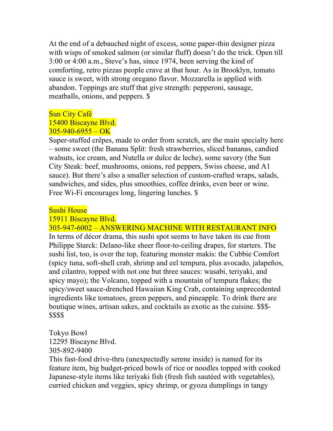At the end of a debauched night of excess, some paper-thin designer pizza with wisps of smoked salmon (or similar fluff) doesn't do the trick. Open till 3:00 or 4:00 a.m., Steve's has, since 1974, been serving the kind of comforting, retro pizzas people crave at that hour. As in Brooklyn, tomato sauce is sweet, with strong oregano flavor. Mozzarella is applied with abandon. Toppings are stuff that give strength: pepperoni, sausage, meatballs, onions, and peppers. \$

### Sun City Café

### 15400 Biscayne Blvd.  $305 - 940 - 6955 - OK$

Super-stuffed crêpes, made to order from scratch, are the main specialty here – some sweet (the Banana Split: fresh strawberries, sliced bananas, candied walnuts, ice cream, and Nutella or dulce de leche), some savory (the Sun City Steak: beef, mushrooms, onions, red peppers, Swiss cheese, and A1 sauce). But there's also a smaller selection of custom-crafted wraps, salads, sandwiches, and sides, plus smoothies, coffee drinks, even beer or wine. Free Wi-Fi encourages long, lingering lunches. \$

### Sushi House

#### 15911 Biscayne Blvd.

305-947-6002 – ANSWERING MACHINE WITH RESTAURANT INFO In terms of décor drama, this sushi spot seems to have taken its cue from Philippe Starck: Delano-like sheer floor-to-ceiling drapes, for starters. The sushi list, too, is over the top, featuring monster makis: the Cubbie Comfort (spicy tuna, soft-shell crab, shrimp and eel tempura, plus avocado, jalapeños, and cilantro, topped with not one but three sauces: wasabi, teriyaki, and spicy mayo); the Volcano, topped with a mountain of tempura flakes; the spicy/sweet sauce-drenched Hawaiian King Crab, containing unprecedented ingredients like tomatoes, green peppers, and pineapple. To drink there are boutique wines, artisan sakes, and cocktails as exotic as the cuisine. \$\$\$- \$\$\$\$

Tokyo Bowl 12295 Biscayne Blvd.

305-892-9400

This fast-food drive-thru (unexpectedly serene inside) is named for its feature item, big budget-priced bowls of rice or noodles topped with cooked Japanese-style items like teriyaki fish (fresh fish sautéed with vegetables), curried chicken and veggies, spicy shrimp, or gyoza dumplings in tangy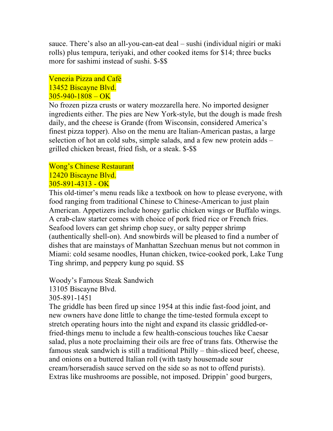sauce. There's also an all-you-can-eat deal – sushi (individual nigiri or maki rolls) plus tempura, teriyaki, and other cooked items for \$14; three bucks more for sashimi instead of sushi. \$-\$\$

### Venezia Pizza and Café 13452 Biscayne Blvd.  $305 - 940 - 1808 - OK$

No frozen pizza crusts or watery mozzarella here. No imported designer ingredients either. The pies are New York-style, but the dough is made fresh daily, and the cheese is Grande (from Wisconsin, considered America's finest pizza topper). Also on the menu are Italian-American pastas, a large selection of hot an cold subs, simple salads, and a few new protein adds – grilled chicken breast, fried fish, or a steak. \$-\$\$

### Wong's Chinese Restaurant 12420 Biscayne Blvd. 305-891-4313 - OK

This old-timer's menu reads like a textbook on how to please everyone, with food ranging from traditional Chinese to Chinese-American to just plain American. Appetizers include honey garlic chicken wings or Buffalo wings. A crab-claw starter comes with choice of pork fried rice or French fries. Seafood lovers can get shrimp chop suey, or salty pepper shrimp (authentically shell-on). And snowbirds will be pleased to find a number of dishes that are mainstays of Manhattan Szechuan menus but not common in Miami: cold sesame noodles, Hunan chicken, twice-cooked pork, Lake Tung Ting shrimp, and peppery kung po squid. \$\$

Woody's Famous Steak Sandwich

13105 Biscayne Blvd.

305-891-1451

The griddle has been fired up since 1954 at this indie fast-food joint, and new owners have done little to change the time-tested formula except to stretch operating hours into the night and expand its classic griddled-orfried-things menu to include a few health-conscious touches like Caesar salad, plus a note proclaiming their oils are free of trans fats. Otherwise the famous steak sandwich is still a traditional Philly – thin-sliced beef, cheese, and onions on a buttered Italian roll (with tasty housemade sour cream/horseradish sauce served on the side so as not to offend purists). Extras like mushrooms are possible, not imposed. Drippin' good burgers,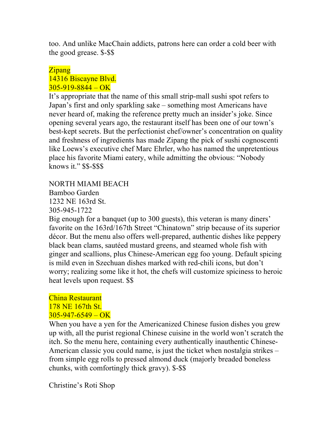too. And unlike MacChain addicts, patrons here can order a cold beer with the good grease. \$-\$\$

### Zipang 14316 Biscayne Blvd.  $305 - 919 - 8844 - OK$

It's appropriate that the name of this small strip-mall sushi spot refers to Japan's first and only sparkling sake – something most Americans have never heard of, making the reference pretty much an insider's joke. Since opening several years ago, the restaurant itself has been one of our town's best-kept secrets. But the perfectionist chef/owner's concentration on quality and freshness of ingredients has made Zipang the pick of sushi cognoscenti like Loews's executive chef Marc Ehrler, who has named the unpretentious place his favorite Miami eatery, while admitting the obvious: "Nobody knows it." \$\$-\$\$\$

NORTH MIAMI BEACH Bamboo Garden 1232 NE 163rd St. 305-945-1722

Big enough for a banquet (up to 300 guests), this veteran is many diners' favorite on the 163rd/167th Street "Chinatown" strip because of its superior décor. But the menu also offers well-prepared, authentic dishes like peppery black bean clams, sautéed mustard greens, and steamed whole fish with ginger and scallions, plus Chinese-American egg foo young. Default spicing is mild even in Szechuan dishes marked with red-chili icons, but don't worry; realizing some like it hot, the chefs will customize spiciness to heroic heat levels upon request. \$\$

# China Restaurant 178 NE 167th St.  $305 - 947 - 6549 - OK$

When you have a yen for the Americanized Chinese fusion dishes you grew up with, all the purist regional Chinese cuisine in the world won't scratch the itch. So the menu here, containing every authentically inauthentic Chinese-American classic you could name, is just the ticket when nostalgia strikes – from simple egg rolls to pressed almond duck (majorly breaded boneless chunks, with comfortingly thick gravy). \$-\$\$

Christine's Roti Shop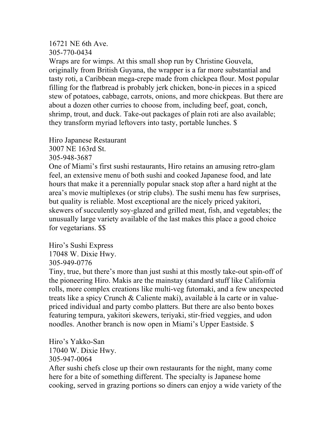#### 16721 NE 6th Ave. 305-770-0434

Wraps are for wimps. At this small shop run by Christine Gouvela, originally from British Guyana, the wrapper is a far more substantial and tasty roti, a Caribbean mega-crepe made from chickpea flour. Most popular filling for the flatbread is probably jerk chicken, bone-in pieces in a spiced stew of potatoes, cabbage, carrots, onions, and more chickpeas. But there are about a dozen other curries to choose from, including beef, goat, conch, shrimp, trout, and duck. Take-out packages of plain roti are also available; they transform myriad leftovers into tasty, portable lunches. \$

Hiro Japanese Restaurant 3007 NE 163rd St.

305-948-3687

One of Miami's first sushi restaurants, Hiro retains an amusing retro-glam feel, an extensive menu of both sushi and cooked Japanese food, and late hours that make it a perennially popular snack stop after a hard night at the area's movie multiplexes (or strip clubs). The sushi menu has few surprises, but quality is reliable. Most exceptional are the nicely priced yakitori, skewers of succulently soy-glazed and grilled meat, fish, and vegetables; the unusually large variety available of the last makes this place a good choice for vegetarians. \$\$

Hiro's Sushi Express 17048 W. Dixie Hwy. 305-949-0776

Tiny, true, but there's more than just sushi at this mostly take-out spin-off of the pioneering Hiro. Makis are the mainstay (standard stuff like California rolls, more complex creations like multi-veg futomaki, and a few unexpected treats like a spicy Crunch & Caliente maki), available à la carte or in valuepriced individual and party combo platters. But there are also bento boxes featuring tempura, yakitori skewers, teriyaki, stir-fried veggies, and udon noodles. Another branch is now open in Miami's Upper Eastside. \$

Hiro's Yakko-San 17040 W. Dixie Hwy. 305-947-0064

After sushi chefs close up their own restaurants for the night, many come here for a bite of something different. The specialty is Japanese home cooking, served in grazing portions so diners can enjoy a wide variety of the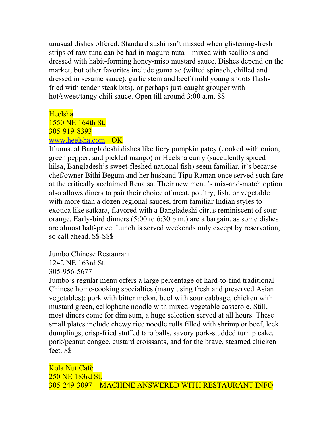unusual dishes offered. Standard sushi isn't missed when glistening-fresh strips of raw tuna can be had in maguro nuta – mixed with scallions and dressed with habit-forming honey-miso mustard sauce. Dishes depend on the market, but other favorites include goma ae (wilted spinach, chilled and dressed in sesame sauce), garlic stem and beef (mild young shoots flashfried with tender steak bits), or perhaps just-caught grouper with hot/sweet/tangy chili sauce. Open till around 3:00 a.m. \$\$

### Heelsha

1550 NE 164th St. 305-919-8393 www.heelsha.com - OK

If unusual Bangladeshi dishes like fiery pumpkin patey (cooked with onion, green pepper, and pickled mango) or Heelsha curry (succulently spiced hilsa, Bangladesh's sweet-fleshed national fish) seem familiar, it's because chef/owner Bithi Begum and her husband Tipu Raman once served such fare at the critically acclaimed Renaisa. Their new menu's mix-and-match option also allows diners to pair their choice of meat, poultry, fish, or vegetable with more than a dozen regional sauces, from familiar Indian styles to exotica like satkara, flavored with a Bangladeshi citrus reminiscent of sour orange. Early-bird dinners (5:00 to 6:30 p.m.) are a bargain, as some dishes are almost half-price. Lunch is served weekends only except by reservation, so call ahead. \$\$-\$\$\$

Jumbo Chinese Restaurant 1242 NE 163rd St. 305-956-5677

Jumbo's regular menu offers a large percentage of hard-to-find traditional Chinese home-cooking specialties (many using fresh and preserved Asian vegetables): pork with bitter melon, beef with sour cabbage, chicken with mustard green, cellophane noodle with mixed-vegetable casserole. Still, most diners come for dim sum, a huge selection served at all hours. These small plates include chewy rice noodle rolls filled with shrimp or beef, leek dumplings, crisp-fried stuffed taro balls, savory pork-studded turnip cake, pork/peanut congee, custard croissants, and for the brave, steamed chicken feet. \$\$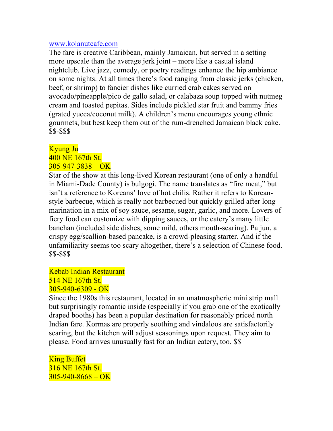#### www.kolanutcafe.com

The fare is creative Caribbean, mainly Jamaican, but served in a setting more upscale than the average jerk joint – more like a casual island nightclub. Live jazz, comedy, or poetry readings enhance the hip ambiance on some nights. At all times there's food ranging from classic jerks (chicken, beef, or shrimp) to fancier dishes like curried crab cakes served on avocado/pineapple/pico de gallo salad, or calabaza soup topped with nutmeg cream and toasted pepitas. Sides include pickled star fruit and bammy fries (grated yucca/coconut milk). A children's menu encourages young ethnic gourmets, but best keep them out of the rum-drenched Jamaican black cake. \$\$-\$\$\$

### Kyung Ju

#### 400 NE 167th St.  $305 - 947 - 3838 - OK$

Star of the show at this long-lived Korean restaurant (one of only a handful in Miami-Dade County) is bulgogi. The name translates as "fire meat," but isn't a reference to Koreans' love of hot chilis. Rather it refers to Koreanstyle barbecue, which is really not barbecued but quickly grilled after long marination in a mix of soy sauce, sesame, sugar, garlic, and more. Lovers of fiery food can customize with dipping sauces, or the eatery's many little banchan (included side dishes, some mild, others mouth-searing). Pa jun, a crispy egg/scallion-based pancake, is a crowd-pleasing starter. And if the unfamiliarity seems too scary altogether, there's a selection of Chinese food. \$\$-\$\$\$

### Kebab Indian Restaurant 514 NE 167th St. 305-940-6309 - OK

Since the 1980s this restaurant, located in an unatmospheric mini strip mall but surprisingly romantic inside (especially if you grab one of the exotically draped booths) has been a popular destination for reasonably priced north Indian fare. Kormas are properly soothing and vindaloos are satisfactorily searing, but the kitchen will adjust seasonings upon request. They aim to please. Food arrives unusually fast for an Indian eatery, too. \$\$

King Buffet 316 NE 167th St.  $305 - 940 - 8668 - OK$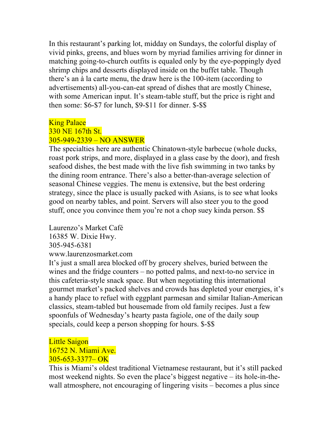In this restaurant's parking lot, midday on Sundays, the colorful display of vivid pinks, greens, and blues worn by myriad families arriving for dinner in matching going-to-church outfits is equaled only by the eye-poppingly dyed shrimp chips and desserts displayed inside on the buffet table. Though there's an à la carte menu, the draw here is the 100-item (according to advertisements) all-you-can-eat spread of dishes that are mostly Chinese, with some American input. It's steam-table stuff, but the price is right and then some: \$6-\$7 for lunch, \$9-\$11 for dinner. \$-\$\$

#### **King Palace**

#### 330 NE 167th St. 305-949-2339 – NO ANSWER

The specialties here are authentic Chinatown-style barbecue (whole ducks, roast pork strips, and more, displayed in a glass case by the door), and fresh seafood dishes, the best made with the live fish swimming in two tanks by the dining room entrance. There's also a better-than-average selection of seasonal Chinese veggies. The menu is extensive, but the best ordering strategy, since the place is usually packed with Asians, is to see what looks good on nearby tables, and point. Servers will also steer you to the good stuff, once you convince them you're not a chop suey kinda person. \$\$

Laurenzo's Market Café 16385 W. Dixie Hwy. 305-945-6381 www.laurenzosmarket.com

It's just a small area blocked off by grocery shelves, buried between the wines and the fridge counters – no potted palms, and next-to-no service in this cafeteria-style snack space. But when negotiating this international gourmet market's packed shelves and crowds has depleted your energies, it's a handy place to refuel with eggplant parmesan and similar Italian-American classics, steam-tabled but housemade from old family recipes. Just a few spoonfuls of Wednesday's hearty pasta fagiole, one of the daily soup specials, could keep a person shopping for hours. \$-\$\$

### Little Saigon 16752 N. Miami Ave. 305-653-3377– OK

This is Miami's oldest traditional Vietnamese restaurant, but it's still packed most weekend nights. So even the place's biggest negative – its hole-in-thewall atmosphere, not encouraging of lingering visits – becomes a plus since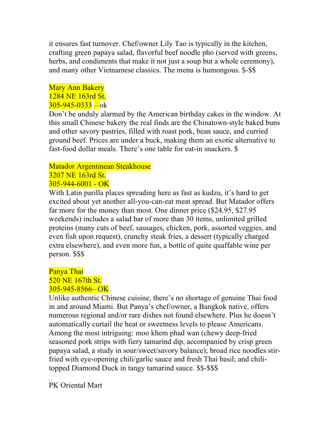it ensures fast turnover. Chef/owner Lily Tao is typically in the kitchen, crafting green papaya salad, flavorful beef noodle pho (served with greens, herbs, and condiments that make it not just a soup but a whole ceremony), and many other Vietnamese classics. The menu is humongous. \$-\$\$

### Mary Ann Bakery 1284 NE 163rd St.  $305 - 945 - 0333 - 0k$

Don't be unduly alarmed by the American birthday cakes in the window. At this small Chinese bakery the real finds are the Chinatown-style baked buns and other savory pastries, filled with roast pork, bean sauce, and curried ground beef. Prices are under a buck, making them an exotic alternative to fast-food dollar meals. There's one table for eat-in snackers. \$

#### Matador Argentinean Steakhouse 3207 NE 163rd St.

# $305 - 944 - 6001 - OK$

With Latin parilla places spreading here as fast as kudzu, it's hard to get excited about yet another all-you-can-eat meat spread. But Matador offers far more for the money than most. One dinner price (\$24.95, \$27.95 weekends) includes a salad bar of more than 30 items, unlimited grilled proteins (many cuts of beef, sausages, chicken, pork, assorted veggies, and even fish upon request), crunchy steak fries, a dessert (typically charged extra elsewhere), and even more fun, a bottle of quite quaffable wine per person. \$\$\$

### Panya Thai 520 NE 167th St. 305-945-8566– OK

Unlike authentic Chinese cuisine, there's no shortage of genuine Thai food in and around Miami. But Panya's chef/owner, a Bangkok native, offers numerous regional and/or rare dishes not found elsewhere. Plus he doesn't automatically curtail the heat or sweetness levels to please Americans. Among the most intriguing: moo khem phad wan (chewy deep-fried seasoned pork strips with fiery tamarind dip, accompanied by crisp green papaya salad, a study in sour/sweet/savory balance); broad rice noodles stirfried with eye-opening chili/garlic sauce and fresh Thai basil; and chilitopped Diamond Duck in tangy tamarind sauce. \$\$-\$\$\$

PK Oriental Mart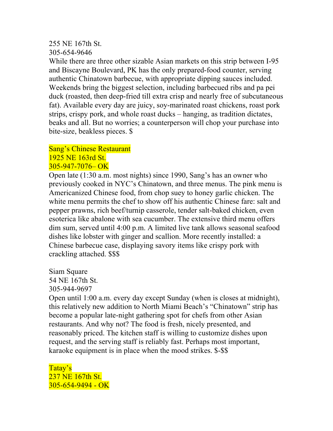### 255 NE 167th St.

### 305-654-9646

While there are three other sizable Asian markets on this strip between I-95 and Biscayne Boulevard, PK has the only prepared-food counter, serving authentic Chinatown barbecue, with appropriate dipping sauces included. Weekends bring the biggest selection, including barbecued ribs and pa pei duck (roasted, then deep-fried till extra crisp and nearly free of subcutaneous fat). Available every day are juicy, soy-marinated roast chickens, roast pork strips, crispy pork, and whole roast ducks – hanging, as tradition dictates, beaks and all. But no worries; a counterperson will chop your purchase into bite-size, beakless pieces. \$

#### Sang's Chinese Restaurant 1925 NE 163rd St. 305-947-7076– OK

Open late (1:30 a.m. most nights) since 1990, Sang's has an owner who previously cooked in NYC's Chinatown, and three menus. The pink menu is Americanized Chinese food, from chop suey to honey garlic chicken. The white menu permits the chef to show off his authentic Chinese fare: salt and pepper prawns, rich beef/turnip casserole, tender salt-baked chicken, even esoterica like abalone with sea cucumber. The extensive third menu offers dim sum, served until 4:00 p.m. A limited live tank allows seasonal seafood dishes like lobster with ginger and scallion. More recently installed: a Chinese barbecue case, displaying savory items like crispy pork with crackling attached. \$\$\$

Siam Square 54 NE 167th St. 305-944-9697

Open until 1:00 a.m. every day except Sunday (when is closes at midnight), this relatively new addition to North Miami Beach's "Chinatown" strip has become a popular late-night gathering spot for chefs from other Asian restaurants. And why not? The food is fresh, nicely presented, and reasonably priced. The kitchen staff is willing to customize dishes upon request, and the serving staff is reliably fast. Perhaps most important, karaoke equipment is in place when the mood strikes. \$-\$\$

Tatay's 237 NE 167th St. 305-654-9494 - OK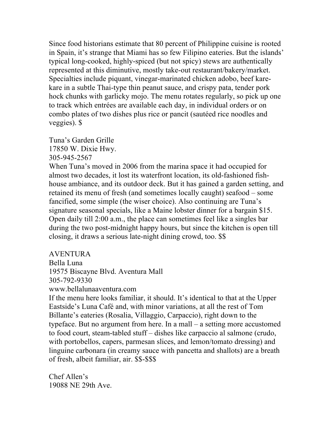Since food historians estimate that 80 percent of Philippine cuisine is rooted in Spain, it's strange that Miami has so few Filipino eateries. But the islands' typical long-cooked, highly-spiced (but not spicy) stews are authentically represented at this diminutive, mostly take-out restaurant/bakery/market. Specialties include piquant, vinegar-marinated chicken adobo, beef karekare in a subtle Thai-type thin peanut sauce, and crispy pata, tender pork hock chunks with garlicky mojo. The menu rotates regularly, so pick up one to track which entrées are available each day, in individual orders or on combo plates of two dishes plus rice or pancit (sautéed rice noodles and veggies). \$

Tuna's Garden Grille 17850 W. Dixie Hwy. 305-945-2567

When Tuna's moved in 2006 from the marina space it had occupied for almost two decades, it lost its waterfront location, its old-fashioned fishhouse ambiance, and its outdoor deck. But it has gained a garden setting, and retained its menu of fresh (and sometimes locally caught) seafood – some fancified, some simple (the wiser choice). Also continuing are Tuna's signature seasonal specials, like a Maine lobster dinner for a bargain \$15. Open daily till 2:00 a.m., the place can sometimes feel like a singles bar during the two post-midnight happy hours, but since the kitchen is open till closing, it draws a serious late-night dining crowd, too. \$\$

AVENTURA

Bella Luna

19575 Biscayne Blvd. Aventura Mall

305-792-9330

www.bellalunaaventura.com

If the menu here looks familiar, it should. It's identical to that at the Upper Eastside's Luna Café and, with minor variations, at all the rest of Tom Billante's eateries (Rosalia, Villaggio, Carpaccio), right down to the typeface. But no argument from here. In a mall – a setting more accustomed to food court, steam-tabled stuff – dishes like carpaccio al salmone (crudo, with portobellos, capers, parmesan slices, and lemon/tomato dressing) and linguine carbonara (in creamy sauce with pancetta and shallots) are a breath of fresh, albeit familiar, air. \$\$-\$\$\$

Chef Allen's 19088 NE 29th Ave.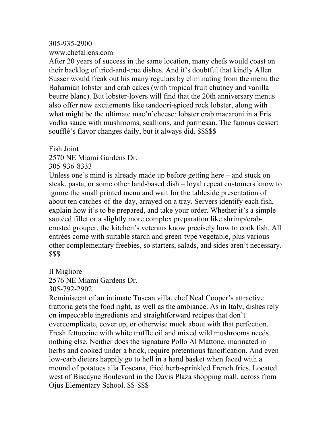#### 305-935-2900

www.chefallens.com

After 20 years of success in the same location, many chefs would coast on their backlog of tried-and-true dishes. And it's doubtful that kindly Allen Susser would freak out his many regulars by eliminating from the menu the Bahamian lobster and crab cakes (with tropical fruit chutney and vanilla beurre blanc). But lobster-lovers will find that the 20th anniversary menus also offer new excitements like tandoori-spiced rock lobster, along with what might be the ultimate mac'n'cheese: lobster crab macaroni in a Fris vodka sauce with mushrooms, scallions, and parmesan. The famous dessert soufflé's flavor changes daily, but it always did. \$\$\$\$\$

Fish Joint

2570 NE Miami Gardens Dr.

305-936-8333

Unless one's mind is already made up before getting here – and stuck on steak, pasta, or some other land-based dish – loyal repeat customers know to ignore the small printed menu and wait for the tableside presentation of about ten catches-of-the-day, arrayed on a tray. Servers identify each fish, explain how it's to be prepared, and take your order. Whether it's a simple sautéed fillet or a slightly more complex preparation like shrimp/crabcrusted grouper, the kitchen's veterans know precisely how to cook fish. All entrées come with suitable starch and green-type vegetable, plus various other complementary freebies, so starters, salads, and sides aren't necessary. \$\$\$

Il Migliore

2576 NE Miami Gardens Dr.

305-792-2902

Reminiscent of an intimate Tuscan villa, chef Neal Cooper's attractive trattoria gets the food right, as well as the ambiance. As in Italy, dishes rely on impeccable ingredients and straightforward recipes that don't overcomplicate, cover up, or otherwise muck about with that perfection. Fresh fettuccine with white truffle oil and mixed wild mushrooms needs nothing else. Neither does the signature Pollo Al Mattone, marinated in herbs and cooked under a brick, require pretentious fancification. And even low-carb dieters happily go to hell in a hand basket when faced with a mound of potatoes alla Toscana, fried herb-sprinkled French fries. Located west of Biscayne Boulevard in the Davis Plaza shopping mall, across from Ojus Elementary School. \$\$-\$\$\$